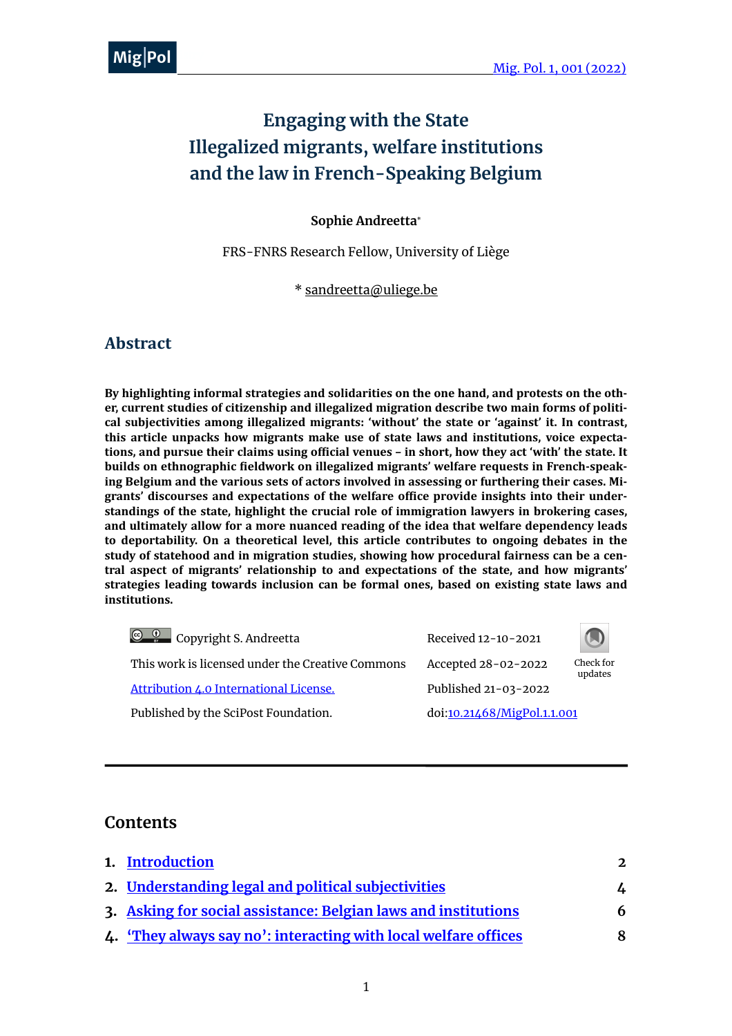# **Engaging with the State Illegalized migrants, welfare institutions and the law in French-Speaking Belgium**

#### **Sophie Andreetta**\*

FRS-FNRS Research Fellow, University of Liège

\* [sandreetta@uliege.be](mailto:sandreetta@uliege.be)

#### **Abstract**

By highlighting informal strategies and solidarities on the one hand, and protests on the other, current studies of citizenship and illegalized migration describe two main forms of political subjectivities among illegalized migrants: 'without' the state or 'against' it. In contrast, this article unpacks how migrants make use of state laws and institutions, voice expectations, and pursue their claims using official venues - in short, how they act 'with' the state. It builds on ethnographic fieldwork on illegalized migrants' welfare requests in French-speaking Belgium and the various sets of actors involved in assessing or furthering their cases. Migrants' discourses and expectations of the welfare office provide insights into their understandings of the state, highlight the crucial role of immigration lawyers in brokering cases, and ultimately allow for a more nuanced reading of the idea that welfare dependency leads to deportability. On a theoretical level, this article contributes to ongoing debates in the study of statehood and in migration studies, showing how procedural fairness can be a central aspect of migrants' relationship to and expectations of the state, and how migrants' strategies leading towards inclusion can be formal ones, based on existing state laws and **institutions.**

Received 12-10-2021 This work is licensed under the Creative Commons Accepted 28-02-2022 Check for [Attribution 4.0 International License.](https://creativecommons.org/licenses/by/4.0/) Published 21-03-2022 Published by the SciPost Foundation. doi[:10.21468/MigPol.1.1.001](https://scipost.org/MigPol.1.1.001) Copyright S. Andreetta



updates

## **Contents**

| 1. Introduction                                                 | $\mathfrak{D}$ |
|-----------------------------------------------------------------|----------------|
| 2. Understanding legal and political subjectivities             | L.             |
| 3. Asking for social assistance: Belgian laws and institutions  | 6              |
| 4. 'They always say no': interacting with local welfare offices | 8              |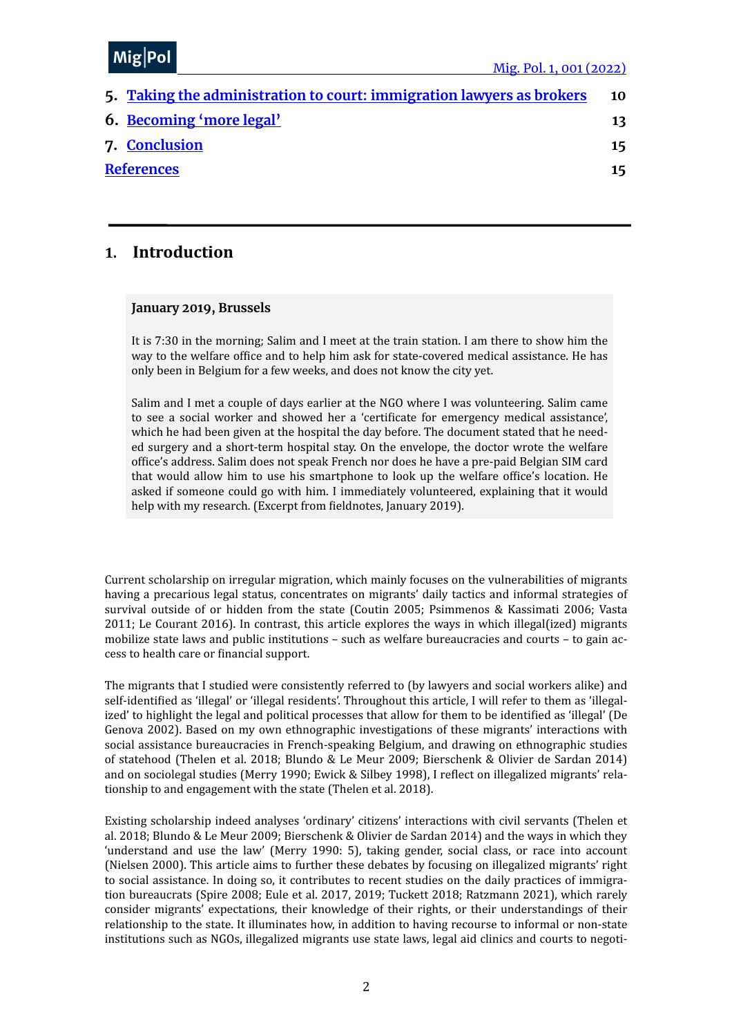#### MiolDr me<sub>l</sub>' <sup>or</sup>  $Mig|Pol$

| 5. Taking the administration to court: immigration lawyers as brokers | 10 |
|-----------------------------------------------------------------------|----|
| 6. Becoming 'more legal'                                              | 13 |
| 7. Conclusion                                                         | 15 |
| <b>References</b>                                                     | 15 |
|                                                                       |    |

#### <span id="page-1-0"></span>**1. Introduction**

#### **January 2019, Brussels**

It is  $7:30$  in the morning; Salim and I meet at the train station. I am there to show him the way to the welfare office and to help him ask for state-covered medical assistance. He has only been in Belgium for a few weeks, and does not know the city yet.

Salim and I met a couple of days earlier at the NGO where I was volunteering. Salim came to see a social worker and showed her a 'certificate for emergency medical assistance', which he had been given at the hospital the day before. The document stated that he needed surgery and a short-term hospital stay. On the envelope, the doctor wrote the welfare office's address. Salim does not speak French nor does he have a pre-paid Belgian SIM card that would allow him to use his smartphone to look up the welfare office's location. He asked if someone could go with him. I immediately volunteered, explaining that it would help with my research. (Excerpt from fieldnotes, January 2019).

Current scholarship on irregular migration, which mainly focuses on the vulnerabilities of migrants having a precarious legal status, concentrates on migrants' daily tactics and informal strategies of survival outside of or hidden from the state (Coutin 2005; Psimmenos & Kassimati 2006; Vasta 2011; Le Courant 2016). In contrast, this article explores the ways in which illegal(ized) migrants mobilize state laws and public institutions - such as welfare bureaucracies and courts - to gain access to health care or financial support.

The migrants that I studied were consistently referred to (by lawyers and social workers alike) and self-identified as 'illegal' or 'illegal residents'. Throughout this article, I will refer to them as 'illegalized' to highlight the legal and political processes that allow for them to be identified as 'illegal' (De Genova 2002). Based on my own ethnographic investigations of these migrants' interactions with social assistance bureaucracies in French-speaking Belgium, and drawing on ethnographic studies of statehood (Thelen et al. 2018; Blundo & Le Meur 2009; Bierschenk & Olivier de Sardan 2014) and on sociolegal studies (Merry 1990; Ewick & Silbey 1998), I reflect on illegalized migrants' relationship to and engagement with the state (Thelen et al. 2018).

Existing scholarship indeed analyses 'ordinary' citizens' interactions with civil servants (Thelen et al. 2018; Blundo & Le Meur 2009; Bierschenk & Olivier de Sardan 2014) and the ways in which they 'understand and use the law' (Merry 1990: 5), taking gender, social class, or race into account (Nielsen 2000). This article aims to further these debates by focusing on illegalized migrants' right to social assistance. In doing so, it contributes to recent studies on the daily practices of immigration bureaucrats (Spire 2008; Eule et al. 2017, 2019; Tuckett 2018; Ratzmann 2021), which rarely consider migrants' expectations, their knowledge of their rights, or their understandings of their relationship to the state. It illuminates how, in addition to having recourse to informal or non-state institutions such as NGOs, illegalized migrants use state laws, legal aid clinics and courts to negoti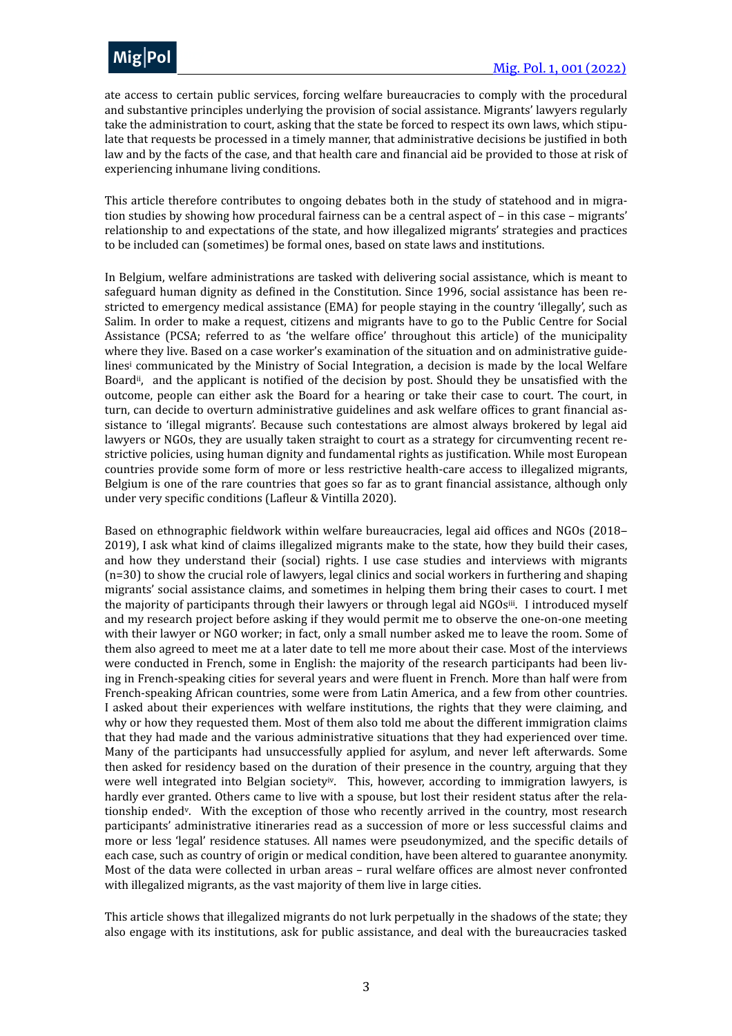ate access to certain public services, forcing welfare bureaucracies to comply with the procedural and substantive principles underlying the provision of social assistance. Migrants' lawyers regularly take the administration to court, asking that the state be forced to respect its own laws, which stipulate that requests be processed in a timely manner, that administrative decisions be justified in both law and by the facts of the case, and that health care and financial aid be provided to those at risk of experiencing inhumane living conditions.

This article therefore contributes to ongoing debates both in the study of statehood and in migration studies by showing how procedural fairness can be a central aspect of  $-$  in this case  $-$  migrants' relationship to and expectations of the state, and how illegalized migrants' strategies and practices to be included can (sometimes) be formal ones, based on state laws and institutions.

<span id="page-2-1"></span><span id="page-2-0"></span>In Belgium, welfare administrations are tasked with delivering social assistance, which is meant to safeguard human dignity as defined in the Constitution. Since 1996, social assistance has been restricted to emergency medical assistance (EMA) for people staying in the country 'illegally', such as Salim. In order to make a request, citizens and migrants have to go to the Public Centre for Social Assistance (PCSA; referred to as 'the welfare office' throughout this article) of the municipality where they live. Based on a case worker's examination of the situation and on administrative guidel[i](#page-19-0)nes<sup>i</sup> communicated by the Ministry of Social Integration, a decision is made by the local Welfare Board<sup>[ii](#page-19-1)</sup>, and the applicant is notified of the decision by post. Should they be unsatisfied with the outcome, people can either ask the Board for a hearing or take their case to court. The court, in turn, can decide to overturn administrative guidelines and ask welfare offices to grant financial assistance to 'illegal migrants'. Because such contestations are almost always brokered by legal aid lawyers or NGOs, they are usually taken straight to court as a strategy for circumventing recent restrictive policies, using human dignity and fundamental rights as justification. While most European countries provide some form of more or less restrictive health-care access to illegalized migrants, Belgium is one of the rare countries that goes so far as to grant financial assistance, although only under very specific conditions (Lafleur & Vintilla 2020).

<span id="page-2-2"></span>Based on ethnographic fieldwork within welfare bureaucracies, legal aid offices and NGOs (2018– 2019), I ask what kind of claims illegalized migrants make to the state, how they build their cases, and how they understand their (social) rights. I use case studies and interviews with migrants  $(n=30)$  to show the crucial role of lawyers, legal clinics and social workers in furthering and shaping migrants' social assistance claims, and sometimes in helping them bring their cases to court. I met the majority of participants through their lawyers or through legal aid NGOs<sup>[iii](#page-19-2)</sup>. I introduced myself and my research project before asking if they would permit me to observe the one-on-one meeting with their lawyer or NGO worker; in fact, only a small number asked me to leave the room. Some of them also agreed to meet me at a later date to tell me more about their case. Most of the interviews were conducted in French, some in English: the majority of the research participants had been living in French-speaking cities for several years and were fluent in French. More than half were from French-speaking African countries, some were from Latin America, and a few from other countries. I asked about their experiences with welfare institutions, the rights that they were claiming, and why or how they requested them. Most of them also told me about the different immigration claims that they had made and the various administrative situations that they had experienced over time. Many of the participants had unsuccessfully applied for asylum, and never left afterwards. Some then asked for residency based on the duration of their presence in the country, arguing that they were well integrated into Belgian society<sup>[iv](#page-19-3)</sup>. This, however, according to immigration lawyers, is hardly ever granted. Others came to live with a spouse, but lost their resident status after the relationship ended<sup>[v](#page-19-4)</sup>. With the exception of those who recently arrived in the country, most research participants' administrative itineraries read as a succession of more or less successful claims and more or less 'legal' residence statuses. All names were pseudonymized, and the specific details of each case, such as country of origin or medical condition, have been altered to guarantee anonymity. Most of the data were collected in urban areas - rural welfare offices are almost never confronted with illegalized migrants, as the vast majority of them live in large cities.

<span id="page-2-4"></span><span id="page-2-3"></span>This article shows that illegalized migrants do not lurk perpetually in the shadows of the state; they also engage with its institutions, ask for public assistance, and deal with the bureaucracies tasked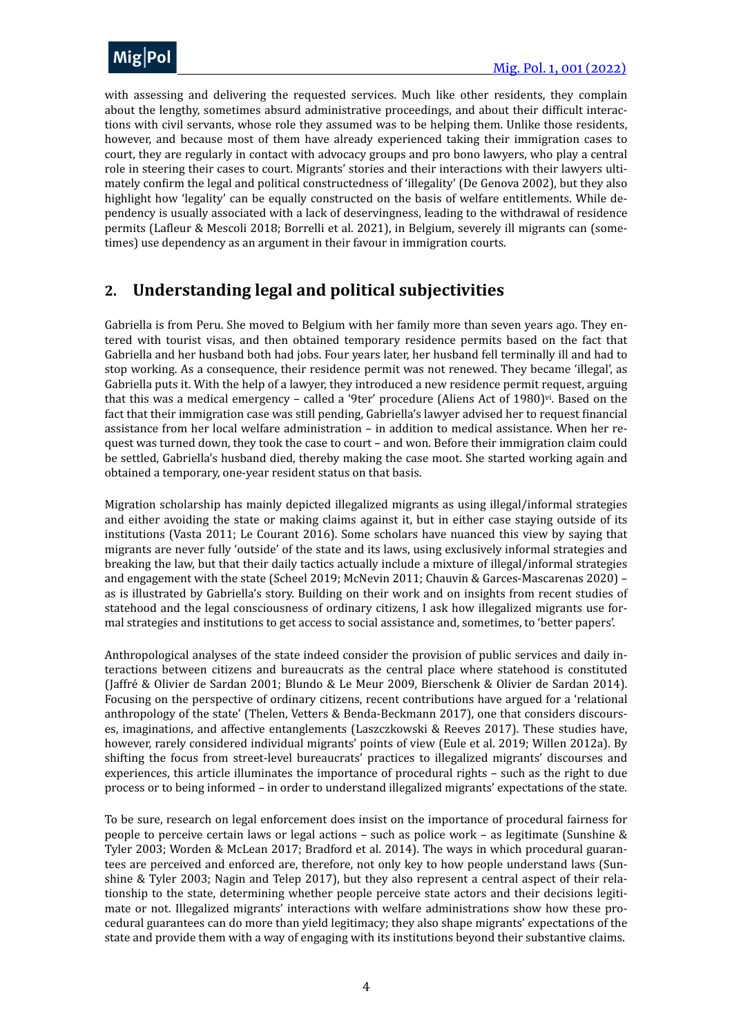

with assessing and delivering the requested services. Much like other residents, they complain about the lengthy, sometimes absurd administrative proceedings, and about their difficult interactions with civil servants, whose role they assumed was to be helping them. Unlike those residents, however, and because most of them have already experienced taking their immigration cases to court, they are regularly in contact with advocacy groups and pro bono lawyers, who play a central role in steering their cases to court. Migrants' stories and their interactions with their lawyers ultimately confirm the legal and political constructedness of 'illegality' (De Genova 2002), but they also highlight how 'legality' can be equally constructed on the basis of welfare entitlements. While dependency is usually associated with a lack of deservingness, leading to the withdrawal of residence permits (Lafleur & Mescoli 2018; Borrelli et al. 2021), in Belgium, severely ill migrants can (sometimes) use dependency as an argument in their favour in immigration courts.

## <span id="page-3-0"></span>**2. Understanding legal and political subjectivities**

<span id="page-3-1"></span>Gabriella is from Peru. She moved to Belgium with her family more than seven years ago. They entered with tourist visas, and then obtained temporary residence permits based on the fact that Gabriella and her husband both had jobs. Four years later, her husband fell terminally ill and had to stop working. As a consequence, their residence permit was not renewed. They became 'illegal', as Gabriella puts it. With the help of a lawyer, they introduced a new residence permit request, arguing that this was a medical emergency – called a '9ter' procedure (Aliens Act of 1980) $\dot{v}$ . Based on the fact that their immigration case was still pending, Gabriella's lawyer advised her to request financial assistance from her local welfare administration - in addition to medical assistance. When her request was turned down, they took the case to court - and won. Before their immigration claim could be settled, Gabriella's husband died, thereby making the case moot. She started working again and obtained a temporary, one-year resident status on that basis.

Migration scholarship has mainly depicted illegalized migrants as using illegal/informal strategies and either avoiding the state or making claims against it, but in either case staying outside of its institutions (Vasta 2011; Le Courant 2016). Some scholars have nuanced this view by saying that migrants are never fully 'outside' of the state and its laws, using exclusively informal strategies and breaking the law, but that their daily tactics actually include a mixture of illegal/informal strategies and engagement with the state (Scheel 2019; McNevin 2011; Chauvin & Garces-Mascarenas  $2020$ ) – as is illustrated by Gabriella's story. Building on their work and on insights from recent studies of statehood and the legal consciousness of ordinary citizens, I ask how illegalized migrants use formal strategies and institutions to get access to social assistance and, sometimes, to 'better papers'.

Anthropological analyses of the state indeed consider the provision of public services and daily interactions between citizens and bureaucrats as the central place where statehood is constituted (Jaffré & Olivier de Sardan 2001; Blundo & Le Meur 2009, Bierschenk & Olivier de Sardan 2014). Focusing on the perspective of ordinary citizens, recent contributions have argued for a 'relational anthropology of the state' (Thelen, Vetters & Benda-Beckmann 2017), one that considers discourses, imaginations, and affective entanglements (Laszczkowski & Reeves 2017). These studies have, however, rarely considered individual migrants' points of view (Eule et al. 2019; Willen 2012a). By shifting the focus from street-level bureaucrats' practices to illegalized migrants' discourses and experiences, this article illuminates the importance of procedural rights - such as the right to due process or to being informed – in order to understand illegalized migrants' expectations of the state.

To be sure, research on legal enforcement does insist on the importance of procedural fairness for people to perceive certain laws or legal actions – such as police work – as legitimate (Sunshine  $\&$ Tyler 2003; Worden & McLean 2017; Bradford et al. 2014). The ways in which procedural guarantees are perceived and enforced are, therefore, not only key to how people understand laws (Sunshine & Tyler 2003; Nagin and Telep 2017), but they also represent a central aspect of their relationship to the state, determining whether people perceive state actors and their decisions legitimate or not. Illegalized migrants' interactions with welfare administrations show how these procedural guarantees can do more than yield legitimacy; they also shape migrants' expectations of the state and provide them with a way of engaging with its institutions beyond their substantive claims.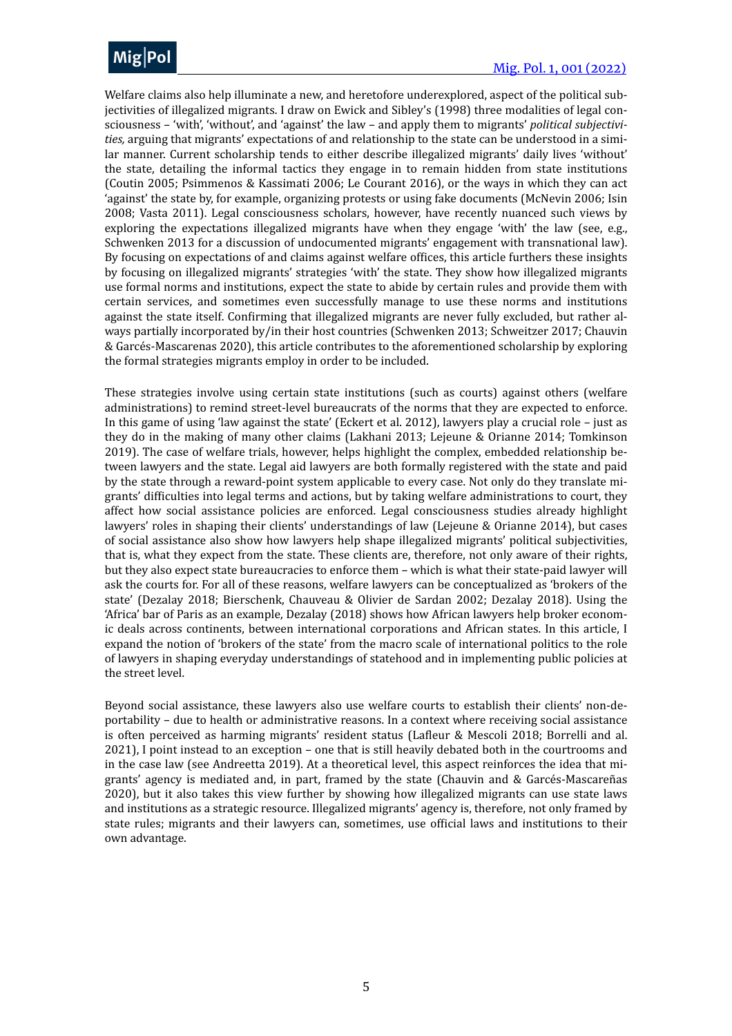

Welfare claims also help illuminate a new, and heretofore underexplored, aspect of the political subjectivities of illegalized migrants. I draw on Ewick and Sibley's (1998) three modalities of legal consciousness - 'with', 'without', and 'against' the law - and apply them to migrants' political subjectivi*ties,* arguing that migrants' expectations of and relationship to the state can be understood in a similar manner. Current scholarship tends to either describe illegalized migrants' daily lives 'without' the state, detailing the informal tactics they engage in to remain hidden from state institutions (Coutin 2005; Psimmenos & Kassimati 2006; Le Courant 2016), or the ways in which they can act 'against' the state by, for example, organizing protests or using fake documents (McNevin 2006; Isin 2008; Vasta 2011). Legal consciousness scholars, however, have recently nuanced such views by exploring the expectations illegalized migrants have when they engage 'with' the law (see, e.g., Schwenken 2013 for a discussion of undocumented migrants' engagement with transnational law). By focusing on expectations of and claims against welfare offices, this article furthers these insights by focusing on illegalized migrants' strategies 'with' the state. They show how illegalized migrants use formal norms and institutions, expect the state to abide by certain rules and provide them with certain services, and sometimes even successfully manage to use these norms and institutions against the state itself. Confirming that illegalized migrants are never fully excluded, but rather always partially incorporated by/in their host countries (Schwenken 2013; Schweitzer 2017; Chauvin & Garcés-Mascarenas 2020), this article contributes to the aforementioned scholarship by exploring the formal strategies migrants employ in order to be included.

These strategies involve using certain state institutions (such as courts) against others (welfare administrations) to remind street-level bureaucrats of the norms that they are expected to enforce. In this game of using 'law against the state' (Eckert et al. 2012), lawyers play a crucial role – just as they do in the making of many other claims (Lakhani 2013; Lejeune & Orianne 2014; Tomkinson 2019). The case of welfare trials, however, helps highlight the complex, embedded relationship between lawyers and the state. Legal aid lawyers are both formally registered with the state and paid by the state through a reward-point system applicable to every case. Not only do they translate migrants' difficulties into legal terms and actions, but by taking welfare administrations to court, they affect how social assistance policies are enforced. Legal consciousness studies already highlight lawyers' roles in shaping their clients' understandings of law (Lejeune & Orianne 2014), but cases of social assistance also show how lawyers help shape illegalized migrants' political subjectivities, that is, what they expect from the state. These clients are, therefore, not only aware of their rights, but they also expect state bureaucracies to enforce them – which is what their state-paid lawyer will ask the courts for. For all of these reasons, welfare lawyers can be conceptualized as 'brokers of the state' (Dezalay 2018; Bierschenk, Chauveau & Olivier de Sardan 2002; Dezalay 2018). Using the 'Africa' bar of Paris as an example, Dezalay (2018) shows how African lawyers help broker economic deals across continents, between international corporations and African states. In this article, I expand the notion of 'brokers of the state' from the macro scale of international politics to the role of lawyers in shaping everyday understandings of statehood and in implementing public policies at the street level.

Beyond social assistance, these lawyers also use welfare courts to establish their clients' non-deportability - due to health or administrative reasons. In a context where receiving social assistance is often perceived as harming migrants' resident status (Lafleur & Mescoli 2018; Borrelli and al. 2021), I point instead to an exception – one that is still heavily debated both in the courtrooms and in the case law (see Andreetta 2019). At a theoretical level, this aspect reinforces the idea that migrants' agency is mediated and, in part, framed by the state (Chauvin and & Garcés-Mascareñas 2020), but it also takes this view further by showing how illegalized migrants can use state laws and institutions as a strategic resource. Illegalized migrants' agency is, therefore, not only framed by state rules; migrants and their lawyers can, sometimes, use official laws and institutions to their own advantage.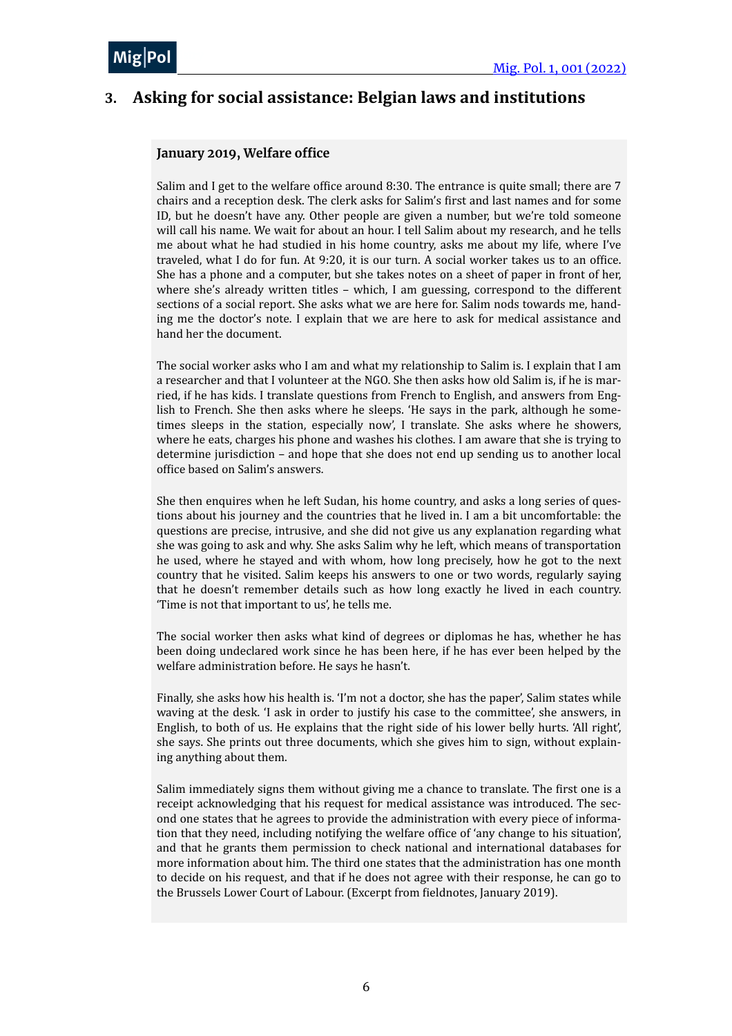

## <span id="page-5-0"></span>**3.** Asking for social assistance: Belgian laws and institutions

#### **January 2019, Welfare office**

Salim and I get to the welfare office around  $8:30$ . The entrance is quite small; there are 7 chairs and a reception desk. The clerk asks for Salim's first and last names and for some ID, but he doesn't have any. Other people are given a number, but we're told someone will call his name. We wait for about an hour. I tell Salim about my research, and he tells me about what he had studied in his home country, asks me about my life, where I've traveled, what I do for fun. At 9:20, it is our turn. A social worker takes us to an office. She has a phone and a computer, but she takes notes on a sheet of paper in front of her, where she's already written titles  $-$  which, I am guessing, correspond to the different sections of a social report. She asks what we are here for. Salim nods towards me, handing me the doctor's note. I explain that we are here to ask for medical assistance and hand her the document.

The social worker asks who I am and what my relationship to Salim is. I explain that I am a researcher and that I volunteer at the NGO. She then asks how old Salim is, if he is married, if he has kids. I translate questions from French to English, and answers from English to French. She then asks where he sleeps. 'He says in the park, although he sometimes sleeps in the station, especially now', I translate. She asks where he showers, where he eats, charges his phone and washes his clothes. I am aware that she is trying to determine jurisdiction  $-$  and hope that she does not end up sending us to another local office based on Salim's answers.

She then enquires when he left Sudan, his home country, and asks a long series of questions about his journey and the countries that he lived in. I am a bit uncomfortable: the questions are precise, intrusive, and she did not give us any explanation regarding what she was going to ask and why. She asks Salim why he left, which means of transportation he used, where he stayed and with whom, how long precisely, how he got to the next country that he visited. Salim keeps his answers to one or two words, regularly saying that he doesn't remember details such as how long exactly he lived in each country. Time is not that important to us', he tells me.

The social worker then asks what kind of degrees or diplomas he has, whether he has been doing undeclared work since he has been here, if he has ever been helped by the welfare administration before. He says he hasn't.

Finally, she asks how his health is. 'I'm not a doctor, she has the paper', Salim states while waving at the desk. 'I ask in order to justify his case to the committee', she answers, in English, to both of us. He explains that the right side of his lower belly hurts.  $'All right'$ , she says. She prints out three documents, which she gives him to sign, without explaining anything about them.

Salim immediately signs them without giving me a chance to translate. The first one is a receipt acknowledging that his request for medical assistance was introduced. The second one states that he agrees to provide the administration with every piece of information that they need, including notifying the welfare office of 'any change to his situation', and that he grants them permission to check national and international databases for more information about him. The third one states that the administration has one month to decide on his request, and that if he does not agree with their response, he can go to the Brussels Lower Court of Labour. (Excerpt from fieldnotes, January 2019).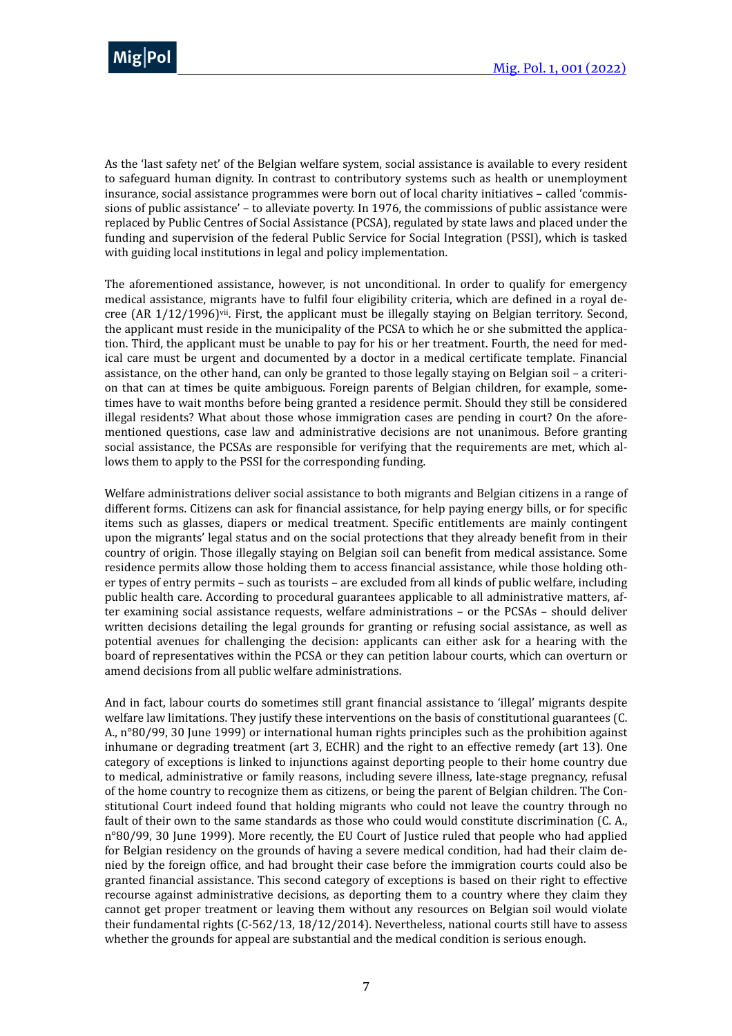

As the 'last safety net' of the Belgian welfare system, social assistance is available to every resident to safeguard human dignity. In contrast to contributory systems such as health or unemployment insurance, social assistance programmes were born out of local charity initiatives – called 'commissions of public assistance' - to alleviate poverty. In 1976, the commissions of public assistance were replaced by Public Centres of Social Assistance (PCSA), regulated by state laws and placed under the funding and supervision of the federal Public Service for Social Integration (PSSI), which is tasked with guiding local institutions in legal and policy implementation.

<span id="page-6-0"></span>The aforementioned assistance, however, is not unconditional. In order to qualify for emergency medical assistance, migrants have to fulfil four eligibility criteria, which are defined in a royal decree (AR  $1/12/1996$ )<sup>[vii](#page-19-6)</sup>. First, the applicant must be illegally staying on Belgian territory. Second, the applicant must reside in the municipality of the PCSA to which he or she submitted the application. Third, the applicant must be unable to pay for his or her treatment. Fourth, the need for medical care must be urgent and documented by a doctor in a medical certificate template. Financial assistance, on the other hand, can only be granted to those legally staying on Belgian soil – a criterion that can at times be quite ambiguous. Foreign parents of Belgian children, for example, sometimes have to wait months before being granted a residence permit. Should they still be considered illegal residents? What about those whose immigration cases are pending in court? On the aforementioned questions, case law and administrative decisions are not unanimous. Before granting social assistance, the PCSAs are responsible for verifying that the requirements are met, which allows them to apply to the PSSI for the corresponding funding.

Welfare administrations deliver social assistance to both migrants and Belgian citizens in a range of different forms. Citizens can ask for financial assistance, for help paying energy bills, or for specific items such as glasses, diapers or medical treatment. Specific entitlements are mainly contingent upon the migrants' legal status and on the social protections that they already benefit from in their country of origin. Those illegally staying on Belgian soil can benefit from medical assistance. Some residence permits allow those holding them to access financial assistance, while those holding other types of entry permits - such as tourists - are excluded from all kinds of public welfare, including public health care. According to procedural guarantees applicable to all administrative matters, after examining social assistance requests, welfare administrations - or the PCSAs - should deliver written decisions detailing the legal grounds for granting or refusing social assistance, as well as potential avenues for challenging the decision: applicants can either ask for a hearing with the board of representatives within the PCSA or they can petition labour courts, which can overturn or amend decisions from all public welfare administrations.

And in fact, labour courts do sometimes still grant financial assistance to 'illegal' migrants despite welfare law limitations. They justify these interventions on the basis of constitutional guarantees (C. A.,  $n^{\circ}80/99$ , 30 June 1999) or international human rights principles such as the prohibition against inhumane or degrading treatment (art 3, ECHR) and the right to an effective remedy (art 13). One category of exceptions is linked to injunctions against deporting people to their home country due to medical, administrative or family reasons, including severe illness, late-stage pregnancy, refusal of the home country to recognize them as citizens, or being the parent of Belgian children. The Constitutional Court indeed found that holding migrants who could not leave the country through no fault of their own to the same standards as those who could would constitute discrimination (C. A., n°80/99, 30 June 1999). More recently, the EU Court of Justice ruled that people who had applied for Belgian residency on the grounds of having a severe medical condition, had had their claim denied by the foreign office, and had brought their case before the immigration courts could also be granted financial assistance. This second category of exceptions is based on their right to effective recourse against administrative decisions, as deporting them to a country where they claim they cannot get proper treatment or leaving them without any resources on Belgian soil would violate their fundamental rights  $(C-562/13, 18/12/2014)$ . Nevertheless, national courts still have to assess whether the grounds for appeal are substantial and the medical condition is serious enough.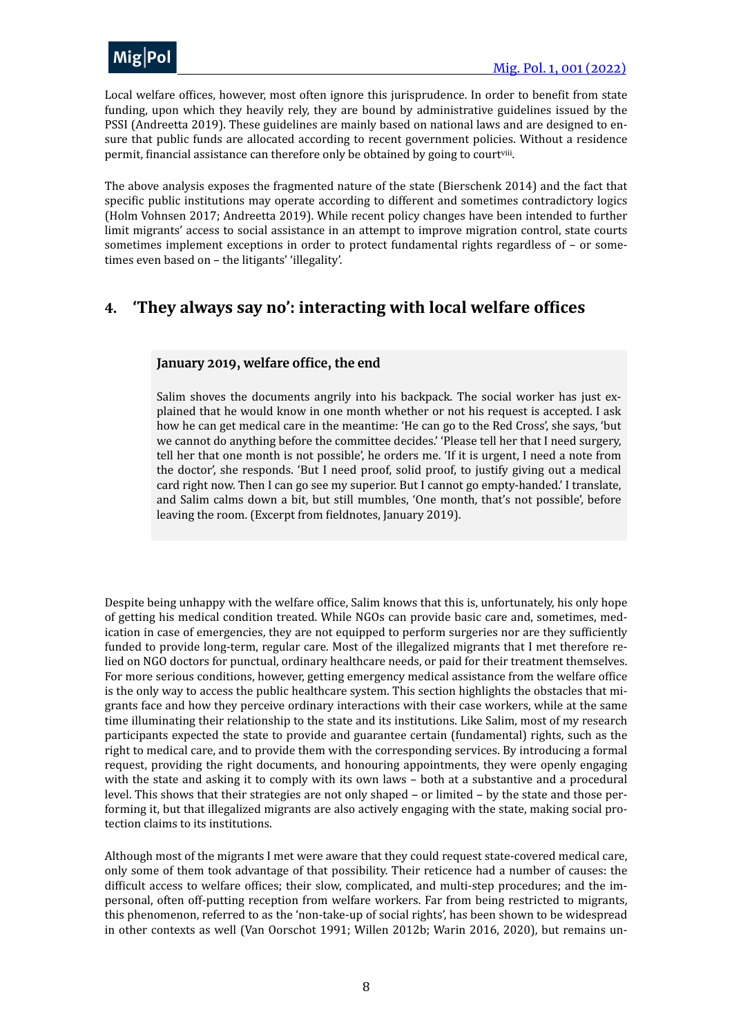

Local welfare offices, however, most often ignore this jurisprudence. In order to benefit from state funding, upon which they heavily rely, they are bound by administrative guidelines issued by the PSSI (Andreetta 2019). These guidelines are mainly based on national laws and are designed to ensure that public funds are allocated according to recent government policies. Without a residence permit, financial assistance can therefore only be obtained by going to court[viii](#page-19-7).

<span id="page-7-1"></span>The above analysis exposes the fragmented nature of the state (Bierschenk 2014) and the fact that specific public institutions may operate according to different and sometimes contradictory logics (Holm Vohnsen 2017; Andreetta 2019). While recent policy changes have been intended to further limit migrants' access to social assistance in an attempt to improve migration control, state courts sometimes implement exceptions in order to protect fundamental rights regardless of  $-$  or sometimes even based on - the litigants' 'illegality'.

### <span id="page-7-0"></span>**4. 'They always say no': interacting with local welfare offices**

#### **January 2019, welfare office, the end**

Salim shoves the documents angrily into his backpack. The social worker has just explained that he would know in one month whether or not his request is accepted. I ask how he can get medical care in the meantime: 'He can go to the Red Cross', she says, 'but we cannot do anything before the committee decides.' 'Please tell her that I need surgery, tell her that one month is not possible', he orders me. 'If it is urgent, I need a note from the doctor', she responds. 'But I need proof, solid proof, to justify giving out a medical card right now. Then I can go see my superior. But I cannot go empty-handed.' I translate, and Salim calms down a bit, but still mumbles, 'One month, that's not possible', before leaving the room. (Excerpt from fieldnotes, January 2019).

Despite being unhappy with the welfare office, Salim knows that this is, unfortunately, his only hope of getting his medical condition treated. While NGOs can provide basic care and, sometimes, medication in case of emergencies, they are not equipped to perform surgeries nor are they sufficiently funded to provide long-term, regular care. Most of the illegalized migrants that I met therefore relied on NGO doctors for punctual, ordinary healthcare needs, or paid for their treatment themselves. For more serious conditions, however, getting emergency medical assistance from the welfare office is the only way to access the public healthcare system. This section highlights the obstacles that migrants face and how they perceive ordinary interactions with their case workers, while at the same time illuminating their relationship to the state and its institutions. Like Salim, most of my research participants expected the state to provide and guarantee certain (fundamental) rights, such as the right to medical care, and to provide them with the corresponding services. By introducing a formal request, providing the right documents, and honouring appointments, they were openly engaging with the state and asking it to comply with its own laws - both at a substantive and a procedural level. This shows that their strategies are not only shaped  $-$  or limited  $-$  by the state and those performing it, but that illegalized migrants are also actively engaging with the state, making social protection claims to its institutions.

Although most of the migrants I met were aware that they could request state-covered medical care. only some of them took advantage of that possibility. Their reticence had a number of causes: the difficult access to welfare offices; their slow, complicated, and multi-step procedures; and the impersonal, often off-putting reception from welfare workers. Far from being restricted to migrants, this phenomenon, referred to as the 'non-take-up of social rights', has been shown to be widespread in other contexts as well (Van Oorschot 1991; Willen 2012b; Warin 2016, 2020), but remains un-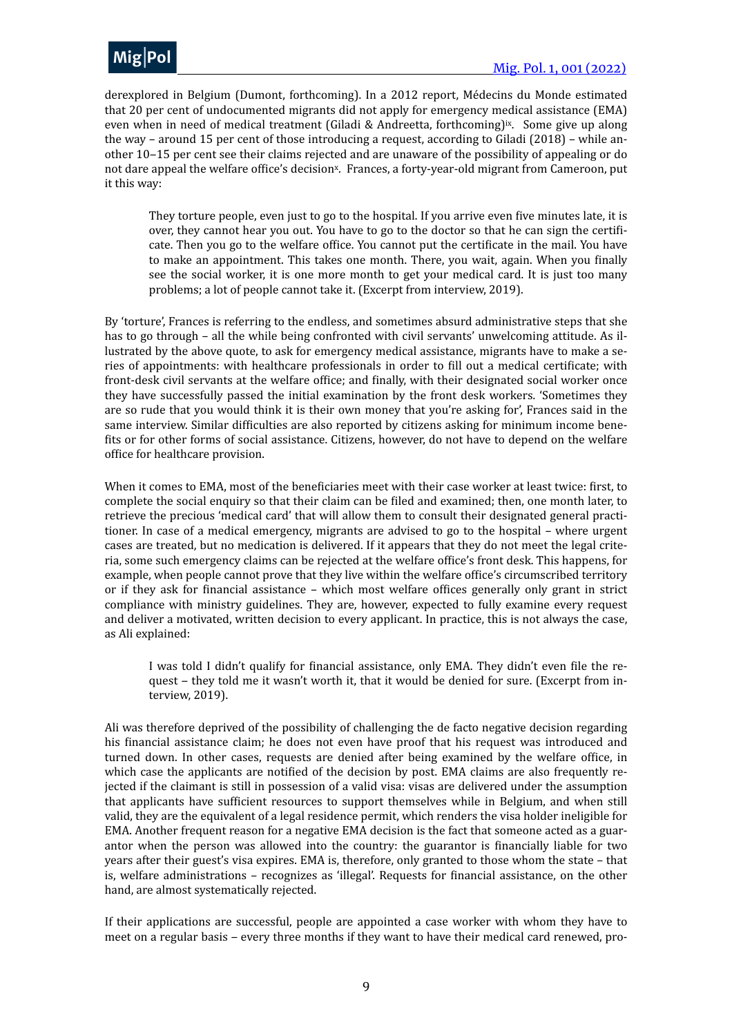

derexplored in Belgium (Dumont, forthcoming). In a 2012 report, Médecins du Monde estimated that 20 per cent of undocumented migrants did not apply for emergency medical assistance (EMA) even when in need of medical treatment (Giladi & Andreetta, forthcoming)<sup>[ix](#page-19-8)</sup>. Some give up along the way – around 15 per cent of those introducing a request, according to Giladi (2018) – while another 10-15 per cent see their claims rejected and are unaware of the possibility of appealing or do not dare appeal the welfare office's decision<sup>[x](#page-19-9)</sup>. Frances, a forty-year-old migrant from Cameroon, put it this way:

<span id="page-8-1"></span><span id="page-8-0"></span>They torture people, even just to go to the hospital. If you arrive even five minutes late, it is over, they cannot hear you out. You have to go to the doctor so that he can sign the certificate. Then you go to the welfare office. You cannot put the certificate in the mail. You have to make an appointment. This takes one month. There, you wait, again. When you finally see the social worker, it is one more month to get your medical card. It is just too many problems; a lot of people cannot take it. (Excerpt from interview, 2019).

By 'torture', Frances is referring to the endless, and sometimes absurd administrative steps that she has to go through - all the while being confronted with civil servants' unwelcoming attitude. As illustrated by the above quote, to ask for emergency medical assistance, migrants have to make a series of appointments: with healthcare professionals in order to fill out a medical certificate; with front-desk civil servants at the welfare office; and finally, with their designated social worker once they have successfully passed the initial examination by the front desk workers. 'Sometimes they are so rude that you would think it is their own money that you're asking for', Frances said in the same interview. Similar difficulties are also reported by citizens asking for minimum income benefits or for other forms of social assistance. Citizens, however, do not have to depend on the welfare office for healthcare provision.

When it comes to EMA, most of the beneficiaries meet with their case worker at least twice: first, to complete the social enquiry so that their claim can be filed and examined; then, one month later, to retrieve the precious 'medical card' that will allow them to consult their designated general practitioner. In case of a medical emergency, migrants are advised to go to the hospital – where urgent cases are treated, but no medication is delivered. If it appears that they do not meet the legal criteria, some such emergency claims can be rejected at the welfare office's front desk. This happens, for example, when people cannot prove that they live within the welfare office's circumscribed territory or if they ask for financial assistance – which most welfare offices generally only grant in strict compliance with ministry guidelines. They are, however, expected to fully examine every request and deliver a motivated, written decision to every applicant. In practice, this is not always the case, as Ali explained:

I was told I didn't qualify for financial assistance, only EMA. They didn't even file the request – they told me it wasn't worth it, that it would be denied for sure. (Excerpt from interview, 2019).

Ali was therefore deprived of the possibility of challenging the de facto negative decision regarding his financial assistance claim; he does not even have proof that his request was introduced and turned down. In other cases, requests are denied after being examined by the welfare office, in which case the applicants are notified of the decision by post. EMA claims are also frequently rejected if the claimant is still in possession of a valid visa: visas are delivered under the assumption that applicants have sufficient resources to support themselves while in Belgium, and when still valid, they are the equivalent of a legal residence permit, which renders the visa holder ineligible for EMA. Another frequent reason for a negative EMA decision is the fact that someone acted as a guarantor when the person was allowed into the country: the guarantor is financially liable for two years after their guest's visa expires. EMA is, therefore, only granted to those whom the state – that is, welfare administrations – recognizes as 'illegal'. Requests for financial assistance, on the other hand, are almost systematically rejected.

If their applications are successful, people are appointed a case worker with whom they have to meet on a regular basis - every three months if they want to have their medical card renewed, pro-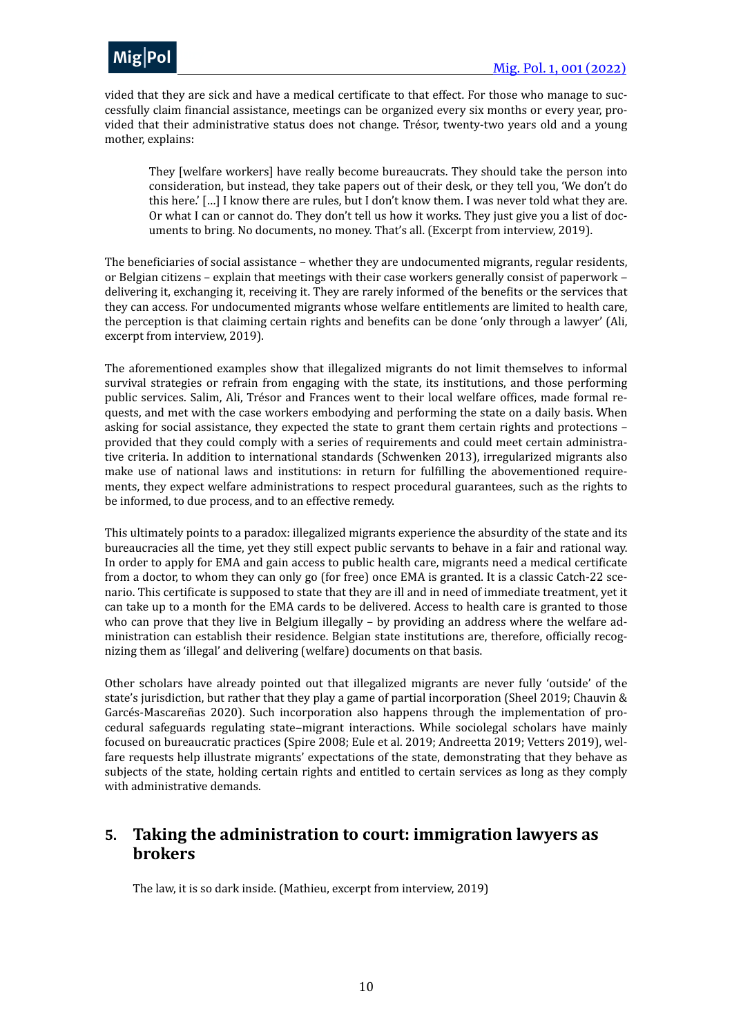

vided that they are sick and have a medical certificate to that effect. For those who manage to successfully claim financial assistance, meetings can be organized every six months or every year, provided that their administrative status does not change. Trésor, twenty-two years old and a young mother, explains:

They [welfare workers] have really become bureaucrats. They should take the person into consideration, but instead, they take papers out of their desk, or they tell you, 'We don't do this here.'  $\lceil$ ...] I know there are rules, but I don't know them. I was never told what they are. Or what I can or cannot do. They don't tell us how it works. They just give you a list of documents to bring. No documents, no money. That's all. (Excerpt from interview, 2019).

The beneficiaries of social assistance – whether they are undocumented migrants, regular residents, or Belgian citizens – explain that meetings with their case workers generally consist of paperwork – delivering it, exchanging it, receiving it. They are rarely informed of the benefits or the services that they can access. For undocumented migrants whose welfare entitlements are limited to health care, the perception is that claiming certain rights and benefits can be done 'only through a lawyer' (Ali, excerpt from interview, 2019).

The aforementioned examples show that illegalized migrants do not limit themselves to informal survival strategies or refrain from engaging with the state, its institutions, and those performing public services. Salim, Ali, Trésor and Frances went to their local welfare offices, made formal requests, and met with the case workers embodying and performing the state on a daily basis. When asking for social assistance, they expected the state to grant them certain rights and protections  $$ provided that they could comply with a series of requirements and could meet certain administrative criteria. In addition to international standards (Schwenken 2013), irregularized migrants also make use of national laws and institutions: in return for fulfilling the abovementioned requirements, they expect welfare administrations to respect procedural guarantees, such as the rights to be informed, to due process, and to an effective remedy.

This ultimately points to a paradox: illegalized migrants experience the absurdity of the state and its bureaucracies all the time, yet they still expect public servants to behave in a fair and rational way. In order to apply for EMA and gain access to public health care, migrants need a medical certificate from a doctor, to whom they can only go (for free) once EMA is granted. It is a classic Catch-22 scenario. This certificate is supposed to state that they are ill and in need of immediate treatment, yet it can take up to a month for the EMA cards to be delivered. Access to health care is granted to those who can prove that they live in Belgium illegally – by providing an address where the welfare administration can establish their residence. Belgian state institutions are, therefore, officially recognizing them as 'illegal' and delivering (welfare) documents on that basis.

Other scholars have already pointed out that illegalized migrants are never fully 'outside' of the state's jurisdiction, but rather that they play a game of partial incorporation (Sheel 2019; Chauvin  $\&$ Garcés-Mascareñas 2020). Such incorporation also happens through the implementation of procedural safeguards regulating state-migrant interactions. While sociolegal scholars have mainly focused on bureaucratic practices (Spire 2008; Eule et al. 2019; Andreetta 2019; Vetters 2019), welfare requests help illustrate migrants' expectations of the state, demonstrating that they behave as subjects of the state, holding certain rights and entitled to certain services as long as they comply with administrative demands.

#### <span id="page-9-0"></span>**5.** Taking the administration to court: immigration lawyers as **brokers**

The law, it is so dark inside. (Mathieu, excerpt from interview, 2019)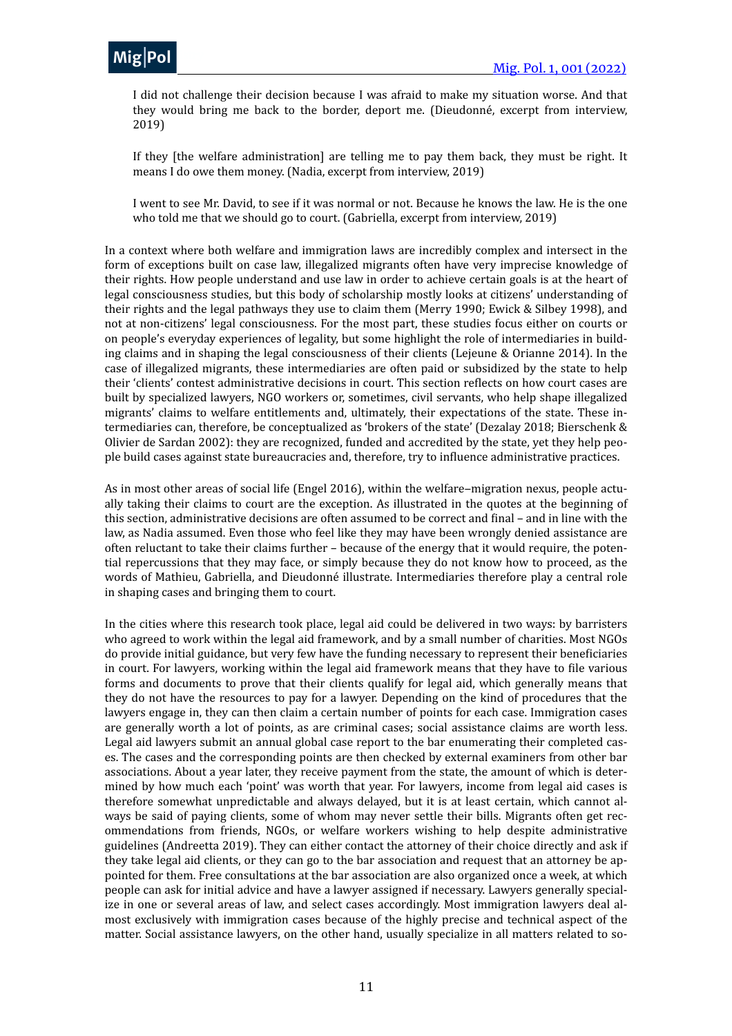

I did not challenge their decision because I was afraid to make my situation worse. And that they would bring me back to the border, deport me. (Dieudonné, excerpt from interview, 2019)

If they [the welfare administration] are telling me to pay them back, they must be right. It means I do owe them money. (Nadia, excerpt from interview, 2019)

I went to see Mr. David, to see if it was normal or not. Because he knows the law. He is the one who told me that we should go to court. (Gabriella, excerpt from interview, 2019)

In a context where both welfare and immigration laws are incredibly complex and intersect in the form of exceptions built on case law, illegalized migrants often have very imprecise knowledge of their rights. How people understand and use law in order to achieve certain goals is at the heart of legal consciousness studies, but this body of scholarship mostly looks at citizens' understanding of their rights and the legal pathways they use to claim them (Merry 1990; Ewick & Silbey 1998), and not at non-citizens' legal consciousness. For the most part, these studies focus either on courts or on people's everyday experiences of legality, but some highlight the role of intermediaries in building claims and in shaping the legal consciousness of their clients (Lejeune & Orianne 2014). In the case of illegalized migrants, these intermediaries are often paid or subsidized by the state to help their 'clients' contest administrative decisions in court. This section reflects on how court cases are built by specialized lawyers, NGO workers or, sometimes, civil servants, who help shape illegalized migrants' claims to welfare entitlements and, ultimately, their expectations of the state. These intermediaries can, therefore, be conceptualized as 'brokers of the state' (Dezalay 2018; Bierschenk & Olivier de Sardan 2002): they are recognized, funded and accredited by the state, yet they help people build cases against state bureaucracies and, therefore, try to influence administrative practices.

As in most other areas of social life (Engel 2016), within the welfare–migration nexus, people actually taking their claims to court are the exception. As illustrated in the quotes at the beginning of this section, administrative decisions are often assumed to be correct and final - and in line with the law, as Nadia assumed. Even those who feel like they may have been wrongly denied assistance are often reluctant to take their claims further – because of the energy that it would require, the potential repercussions that they may face, or simply because they do not know how to proceed, as the words of Mathieu, Gabriella, and Dieudonné illustrate. Intermediaries therefore play a central role in shaping cases and bringing them to court.

In the cities where this research took place, legal aid could be delivered in two ways: by barristers who agreed to work within the legal aid framework, and by a small number of charities. Most NGOs do provide initial guidance, but very few have the funding necessary to represent their beneficiaries in court. For lawyers, working within the legal aid framework means that they have to file various forms and documents to prove that their clients qualify for legal aid, which generally means that they do not have the resources to pay for a lawyer. Depending on the kind of procedures that the lawyers engage in, they can then claim a certain number of points for each case. Immigration cases are generally worth a lot of points, as are criminal cases; social assistance claims are worth less. Legal aid lawyers submit an annual global case report to the bar enumerating their completed cases. The cases and the corresponding points are then checked by external examiners from other bar associations. About a year later, they receive payment from the state, the amount of which is determined by how much each 'point' was worth that year. For lawyers, income from legal aid cases is therefore somewhat unpredictable and always delayed, but it is at least certain, which cannot always be said of paying clients, some of whom may never settle their bills. Migrants often get recommendations from friends, NGOs, or welfare workers wishing to help despite administrative guidelines (Andreetta 2019). They can either contact the attorney of their choice directly and ask if they take legal aid clients, or they can go to the bar association and request that an attorney be appointed for them. Free consultations at the bar association are also organized once a week, at which people can ask for initial advice and have a lawyer assigned if necessary. Lawyers generally specialize in one or several areas of law, and select cases accordingly. Most immigration lawyers deal almost exclusively with immigration cases because of the highly precise and technical aspect of the matter. Social assistance lawyers, on the other hand, usually specialize in all matters related to so-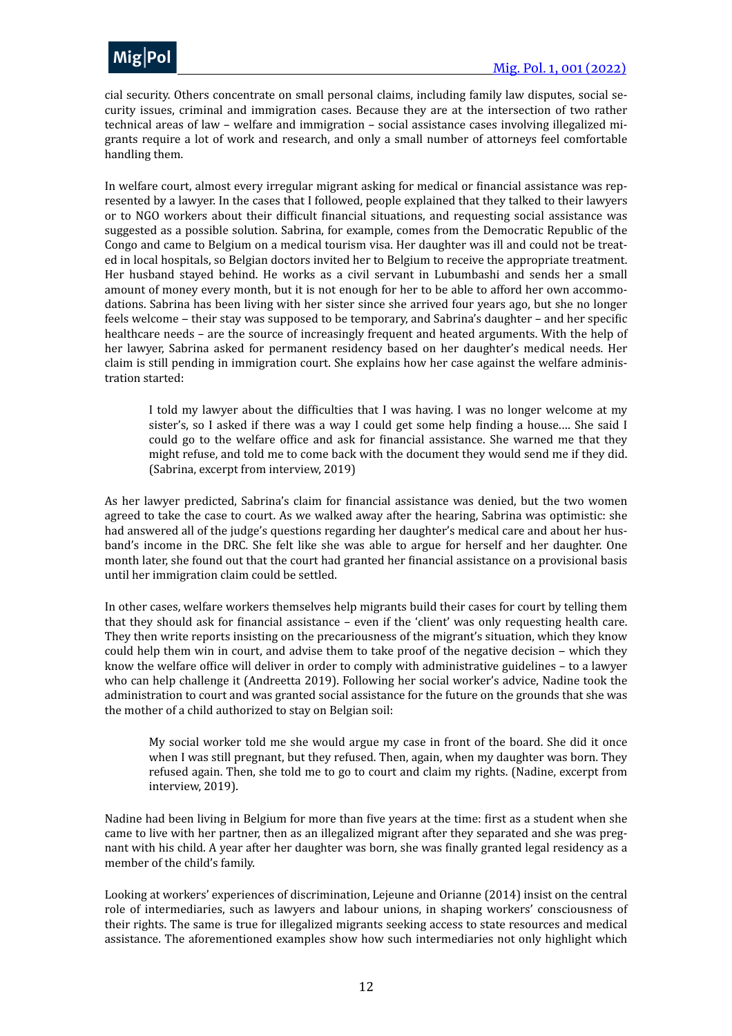

cial security. Others concentrate on small personal claims, including family law disputes, social security issues, criminal and immigration cases. Because they are at the intersection of two rather technical areas of law - welfare and immigration - social assistance cases involving illegalized migrants require a lot of work and research, and only a small number of attorneys feel comfortable handling them.

In welfare court, almost every irregular migrant asking for medical or financial assistance was represented by a lawyer. In the cases that I followed, people explained that they talked to their lawyers or to NGO workers about their difficult financial situations, and requesting social assistance was suggested as a possible solution. Sabrina, for example, comes from the Democratic Republic of the Congo and came to Belgium on a medical tourism visa. Her daughter was ill and could not be treated in local hospitals, so Belgian doctors invited her to Belgium to receive the appropriate treatment. Her husband stayed behind. He works as a civil servant in Lubumbashi and sends her a small amount of money every month, but it is not enough for her to be able to afford her own accommodations. Sabrina has been living with her sister since she arrived four years ago, but she no longer feels welcome – their stay was supposed to be temporary, and Sabrina's daughter – and her specific healthcare needs – are the source of increasingly frequent and heated arguments. With the help of her lawyer, Sabrina asked for permanent residency based on her daughter's medical needs. Her claim is still pending in immigration court. She explains how her case against the welfare administration started: 

I told my lawyer about the difficulties that I was having. I was no longer welcome at my sister's, so I asked if there was a way I could get some help finding a house.... She said I could go to the welfare office and ask for financial assistance. She warned me that they might refuse, and told me to come back with the document they would send me if they did. (Sabrina, excerpt from interview, 2019)

As her lawyer predicted, Sabrina's claim for financial assistance was denied, but the two women agreed to take the case to court. As we walked away after the hearing, Sabrina was optimistic: she had answered all of the judge's questions regarding her daughter's medical care and about her husband's income in the DRC. She felt like she was able to argue for herself and her daughter. One month later, she found out that the court had granted her financial assistance on a provisional basis until her immigration claim could be settled.

In other cases, welfare workers themselves help migrants build their cases for court by telling them that they should ask for financial assistance  $-$  even if the 'client' was only requesting health care. They then write reports insisting on the precariousness of the migrant's situation, which they know could help them win in court, and advise them to take proof of the negative decision – which they know the welfare office will deliver in order to comply with administrative guidelines - to a lawyer who can help challenge it (Andreetta 2019). Following her social worker's advice, Nadine took the administration to court and was granted social assistance for the future on the grounds that she was the mother of a child authorized to stay on Belgian soil:

My social worker told me she would argue my case in front of the board. She did it once when I was still pregnant, but they refused. Then, again, when my daughter was born. They refused again. Then, she told me to go to court and claim my rights. (Nadine, excerpt from interview, 2019).

Nadine had been living in Belgium for more than five years at the time: first as a student when she came to live with her partner, then as an illegalized migrant after they separated and she was pregnant with his child. A year after her daughter was born, she was finally granted legal residency as a member of the child's family.

Looking at workers' experiences of discrimination, Lejeune and Orianne (2014) insist on the central role of intermediaries, such as lawyers and labour unions, in shaping workers' consciousness of their rights. The same is true for illegalized migrants seeking access to state resources and medical assistance. The aforementioned examples show how such intermediaries not only highlight which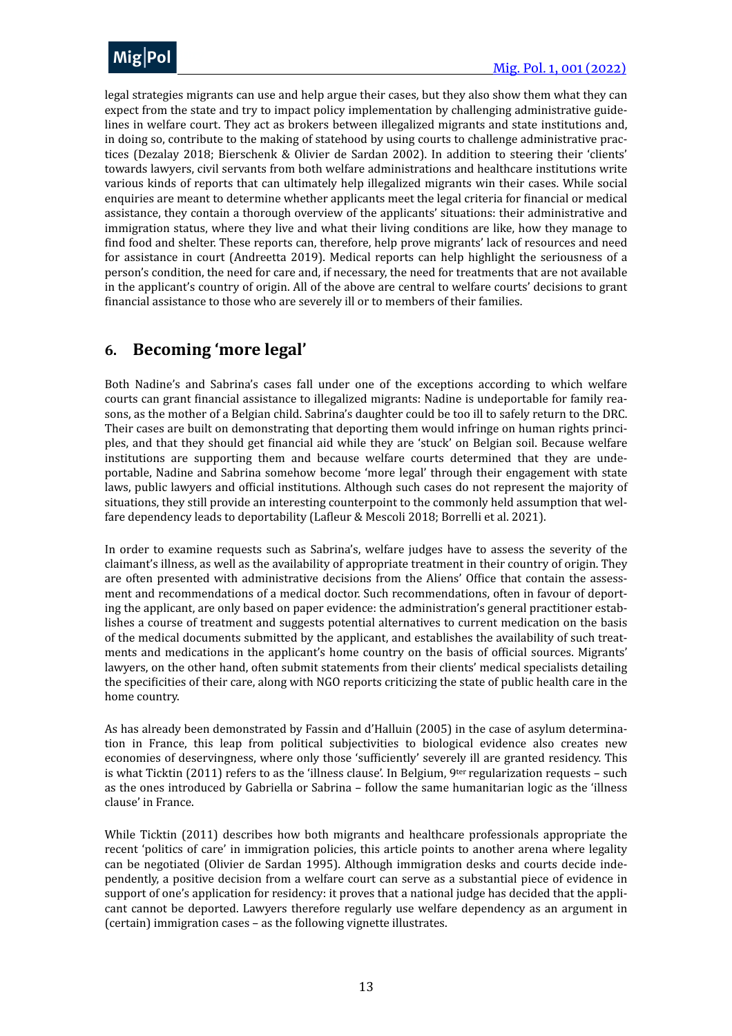

legal strategies migrants can use and help argue their cases, but they also show them what they can expect from the state and try to impact policy implementation by challenging administrative guidelines in welfare court. They act as brokers between illegalized migrants and state institutions and, in doing so, contribute to the making of statehood by using courts to challenge administrative practices (Dezalay 2018; Bierschenk & Olivier de Sardan 2002). In addition to steering their 'clients' towards lawyers, civil servants from both welfare administrations and healthcare institutions write various kinds of reports that can ultimately help illegalized migrants win their cases. While social enquiries are meant to determine whether applicants meet the legal criteria for financial or medical assistance, they contain a thorough overview of the applicants' situations: their administrative and immigration status, where they live and what their living conditions are like, how they manage to find food and shelter. These reports can, therefore, help prove migrants' lack of resources and need for assistance in court (Andreetta 2019). Medical reports can help highlight the seriousness of a person's condition, the need for care and, if necessary, the need for treatments that are not available in the applicant's country of origin. All of the above are central to welfare courts' decisions to grant financial assistance to those who are severely ill or to members of their families.

## <span id="page-12-0"></span>**6. Becoming 'more legal'**

Both Nadine's and Sabrina's cases fall under one of the exceptions according to which welfare courts can grant financial assistance to illegalized migrants: Nadine is undeportable for family reasons, as the mother of a Belgian child. Sabrina's daughter could be too ill to safely return to the DRC. Their cases are built on demonstrating that deporting them would infringe on human rights principles, and that they should get financial aid while they are 'stuck' on Belgian soil. Because welfare institutions are supporting them and because welfare courts determined that they are undeportable, Nadine and Sabrina somehow become 'more legal' through their engagement with state laws, public lawyers and official institutions. Although such cases do not represent the majority of situations, they still provide an interesting counterpoint to the commonly held assumption that welfare dependency leads to deportability (Lafleur & Mescoli 2018; Borrelli et al. 2021).

In order to examine requests such as Sabrina's, welfare judges have to assess the severity of the claimant's illness, as well as the availability of appropriate treatment in their country of origin. They are often presented with administrative decisions from the Aliens' Office that contain the assessment and recommendations of a medical doctor. Such recommendations, often in favour of deporting the applicant, are only based on paper evidence: the administration's general practitioner establishes a course of treatment and suggests potential alternatives to current medication on the basis of the medical documents submitted by the applicant, and establishes the availability of such treatments and medications in the applicant's home country on the basis of official sources. Migrants' lawyers, on the other hand, often submit statements from their clients' medical specialists detailing the specificities of their care, along with NGO reports criticizing the state of public health care in the home country.

As has already been demonstrated by Fassin and d'Halluin (2005) in the case of asylum determination in France, this leap from political subjectivities to biological evidence also creates new economies of deservingness, where only those 'sufficiently' severely ill are granted residency. This is what Ticktin (2011) refers to as the 'illness clause'. In Belgium,  $9^{\text{ter}}$  regularization requests – such as the ones introduced by Gabriella or Sabrina – follow the same humanitarian logic as the 'illness clause' in France.

While Ticktin (2011) describes how both migrants and healthcare professionals appropriate the recent 'politics of care' in immigration policies, this article points to another arena where legality can be negotiated (Olivier de Sardan 1995). Although immigration desks and courts decide independently, a positive decision from a welfare court can serve as a substantial piece of evidence in support of one's application for residency: it proves that a national judge has decided that the applicant cannot be deported. Lawyers therefore regularly use welfare dependency as an argument in (certain) immigration cases - as the following vignette illustrates.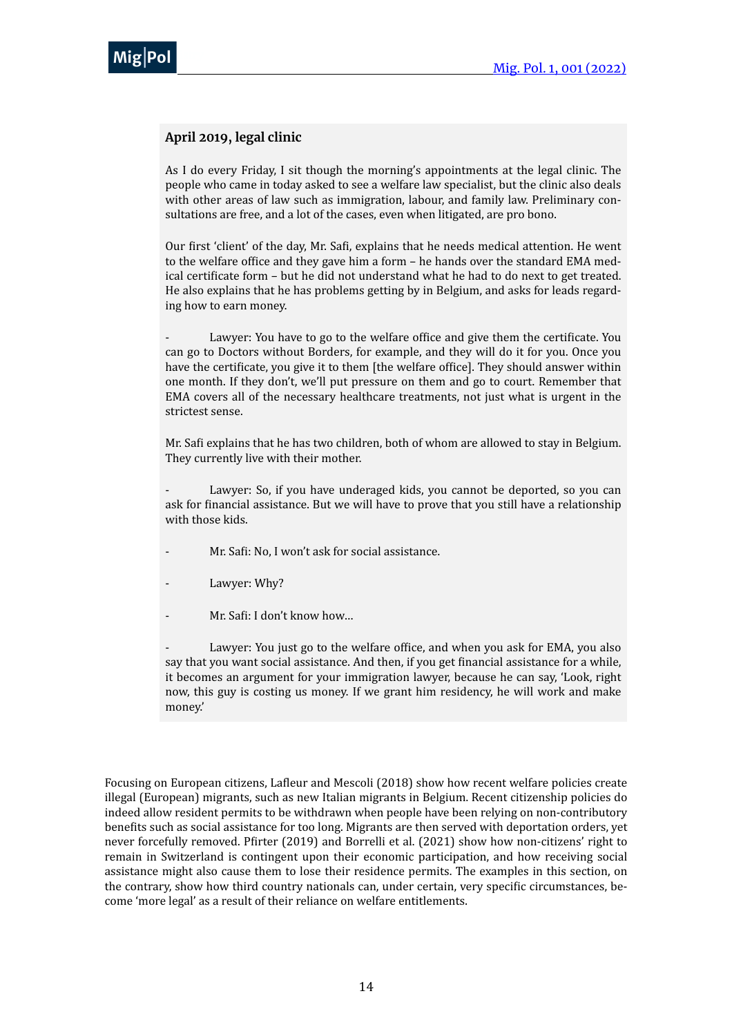

#### **April 2019, legal clinic**

As I do every Friday, I sit though the morning's appointments at the legal clinic. The people who came in today asked to see a welfare law specialist, but the clinic also deals with other areas of law such as immigration, labour, and family law. Preliminary consultations are free, and a lot of the cases, even when litigated, are pro bono.

Our first 'client' of the day, Mr. Safi, explains that he needs medical attention. He went to the welfare office and they gave him a form - he hands over the standard EMA medical certificate form - but he did not understand what he had to do next to get treated. He also explains that he has problems getting by in Belgium, and asks for leads regarding how to earn money.

Lawyer: You have to go to the welfare office and give them the certificate. You can go to Doctors without Borders, for example, and they will do it for you. Once you have the certificate, you give it to them [the welfare office]. They should answer within one month. If they don't, we'll put pressure on them and go to court. Remember that EMA covers all of the necessary healthcare treatments, not just what is urgent in the strictest sense.

Mr. Safi explains that he has two children, both of whom are allowed to stay in Belgium. They currently live with their mother.

Lawyer: So, if you have underaged kids, you cannot be deported, so you can ask for financial assistance. But we will have to prove that you still have a relationship with those kids.

- Mr. Safi: No, I won't ask for social assistance.
- Lawyer: Why?
- $Mr.$  Safi: I don't know how...

Lawyer: You just go to the welfare office, and when you ask for EMA, you also say that you want social assistance. And then, if you get financial assistance for a while, it becomes an argument for your immigration lawyer, because he can say, 'Look, right now, this guy is costing us money. If we grant him residency, he will work and make money.' 

Focusing on European citizens, Lafleur and Mescoli (2018) show how recent welfare policies create illegal (European) migrants, such as new Italian migrants in Belgium. Recent citizenship policies do indeed allow resident permits to be withdrawn when people have been relying on non-contributory benefits such as social assistance for too long. Migrants are then served with deportation orders, yet never forcefully removed. Pfirter (2019) and Borrelli et al. (2021) show how non-citizens' right to remain in Switzerland is contingent upon their economic participation, and how receiving social assistance might also cause them to lose their residence permits. The examples in this section, on the contrary, show how third country nationals can, under certain, very specific circumstances, become 'more legal' as a result of their reliance on welfare entitlements.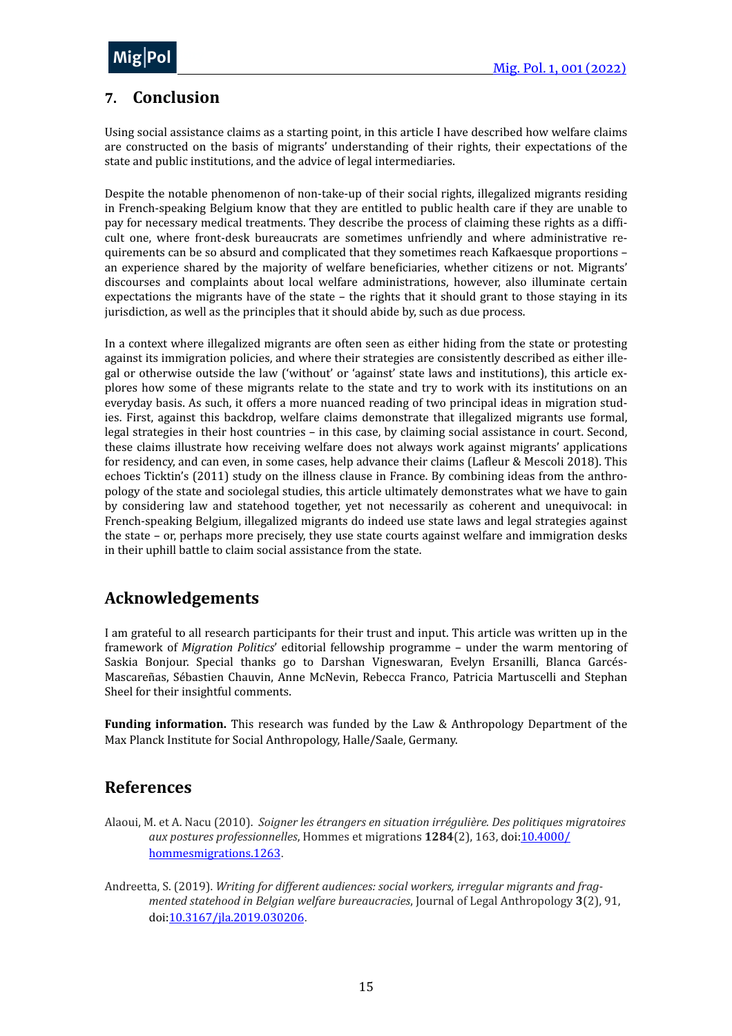

## <span id="page-14-0"></span>**7. Conclusion**

Using social assistance claims as a starting point, in this article I have described how welfare claims are constructed on the basis of migrants' understanding of their rights, their expectations of the state and public institutions, and the advice of legal intermediaries.

Despite the notable phenomenon of non-take-up of their social rights, illegalized migrants residing in French-speaking Belgium know that they are entitled to public health care if they are unable to pay for necessary medical treatments. They describe the process of claiming these rights as a difficult one, where front-desk bureaucrats are sometimes unfriendly and where administrative requirements can be so absurd and complicated that they sometimes reach Kafkaesque proportions – an experience shared by the majority of welfare beneficiaries, whether citizens or not. Migrants' discourses and complaints about local welfare administrations, however, also illuminate certain expectations the migrants have of the state  $-$  the rights that it should grant to those staying in its jurisdiction, as well as the principles that it should abide by, such as due process.

In a context where illegalized migrants are often seen as either hiding from the state or protesting against its immigration policies, and where their strategies are consistently described as either illegal or otherwise outside the law ('without' or 'against' state laws and institutions), this article explores how some of these migrants relate to the state and try to work with its institutions on an everyday basis. As such, it offers a more nuanced reading of two principal ideas in migration studies. First, against this backdrop, welfare claims demonstrate that illegalized migrants use formal, legal strategies in their host countries – in this case, by claiming social assistance in court. Second, these claims illustrate how receiving welfare does not always work against migrants' applications for residency, and can even, in some cases, help advance their claims (Lafleur & Mescoli 2018). This echoes Ticktin's (2011) study on the illness clause in France. By combining ideas from the anthropology of the state and sociolegal studies, this article ultimately demonstrates what we have to gain by considering law and statehood together, yet not necessarily as coherent and unequivocal: in French-speaking Belgium, illegalized migrants do indeed use state laws and legal strategies against the state  $-$  or, perhaps more precisely, they use state courts against welfare and immigration desks in their uphill battle to claim social assistance from the state.

## **Acknowledgements**

I am grateful to all research participants for their trust and input. This article was written up in the framework of *Migration Politics'* editorial fellowship programme - under the warm mentoring of Saskia Bonjour. Special thanks go to Darshan Vigneswaran, Evelyn Ersanilli, Blanca Garcés-Mascareñas, Sébastien Chauvin, Anne McNevin, Rebecca Franco, Patricia Martuscelli and Stephan Sheel for their insightful comments.

**Funding information.** This research was funded by the Law & Anthropology Department of the Max Planck Institute for Social Anthropology, Halle/Saale, Germany.

### <span id="page-14-1"></span>**References**

- Alaoui, M. et A. Nacu (2010). Soigner les étrangers en situation irrégulière. Des politiques migratoires *aux postures professionnelles*, Hommes et migrations **1284**(2), 163, doi[:10.4000/](https://doi.org/10.4000/hommesmigrations.1263) [hommesmigrations.1263](https://doi.org/10.4000/hommesmigrations.1263).
- Andreetta, S. (2019). *Writing for different audiences: social workers, irregular migrants and fragmented statehood in Belgian welfare bureaucracies*, Journal of Legal Anthropology 3(2), 91, doi[:10.3167/jla.2019.030206](https://doi.org/10.3167/jla.2019.030206)"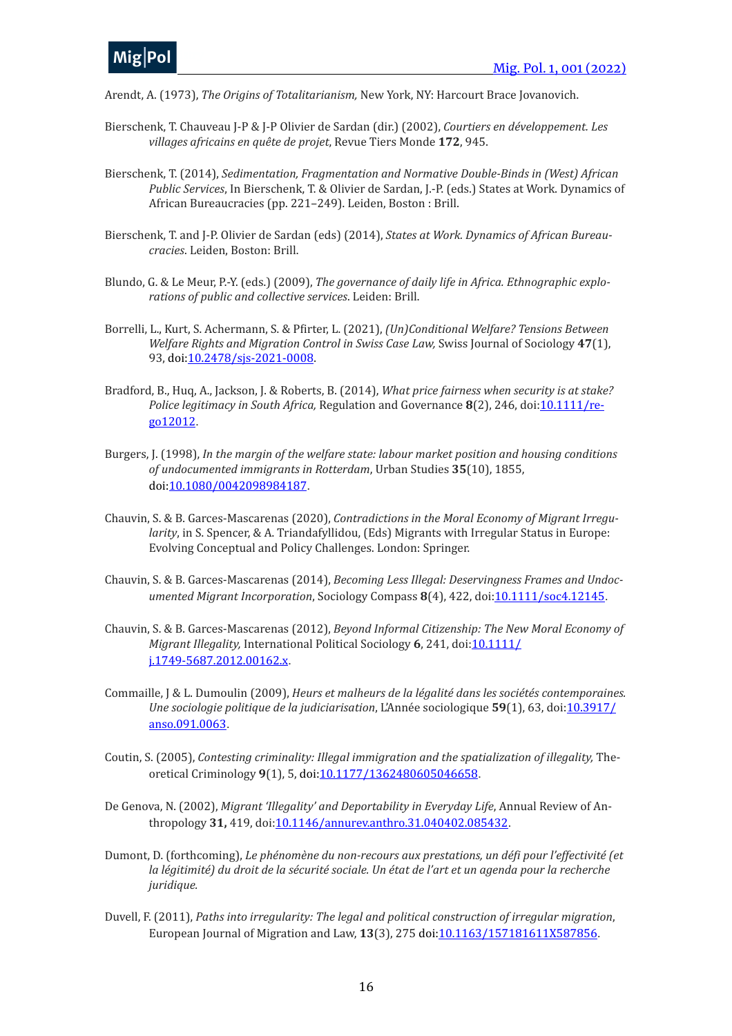

Arendt, A. (1973), *The Origins of Totalitarianism*, New York, NY: Harcourt Brace Jovanovich.

- Bierschenk, T. Chauveau J-P & J-P Olivier de Sardan (dir.) (2002), *Courtiers en développement. Les villages africains en quête de projet*, Revue Tiers Monde 172, 945.
- Bierschenk, T. (2014), *Sedimentation, Fragmentation and Normative Double-Binds in (West) African Public Services*, In Bierschenk, T. & Olivier de Sardan, J.-P. (eds.) States at Work. Dynamics of African Bureaucracies (pp. 221-249). Leiden, Boston : Brill.
- Bierschenk, T. and J-P. Olivier de Sardan (eds) (2014), *States at Work. Dynamics of African Bureaucracies*. Leiden, Boston: Brill.
- Blundo, G. & Le Meur, P.-Y. (eds.) (2009), The governance of daily life in Africa. Ethnographic explo*rations of public and collective services.* Leiden: Brill.
- Borrelli, L., Kurt, S. Achermann, S. & Pfirter, L. (2021), (Un)Conditional Welfare? Tensions Between *Welfare Rights and Migration Control in Swiss Case Law, Swiss Journal of Sociology 47(1),* 93, doi:[10.2478/sjs-2021-0008](https://doi.org/10.2478/sjs-2021-0008).
- Bradford, B., Huq, A., Jackson, J. & Roberts, B. (2014), *What price fairness when security is at stake? Police legitimacy in South Africa,* Regulation and Governance 8(2), 246, doi:*[10.1111/re](https://doi.org/10.1111/rego.12012)*[go12012](https://doi.org/10.1111/rego.12012).
- Burgers, J. (1998), *In the margin of the welfare state: labour market position and housing conditions of undocumented immigrants in Rotterdam*, Urban Studies 35(10), 1855, doi[:10.1080/0042098984187](https://doi.org/10.1080/0042098984187).
- Chauvin, S. & B. Garces-Mascarenas (2020), *Contradictions in the Moral Economy of Migrant Irregularity*, in S. Spencer, & A. Triandafyllidou, (Eds) Migrants with Irregular Status in Europe: Evolving Conceptual and Policy Challenges. London: Springer.
- Chauvin, S. & B. Garces-Mascarenas (2014), *Becoming Less Illegal: Deservingness Frames and Undoc-umented Migrant Incorporation, Sociology Compass 8(4), 422, doi[:10.1111/soc4.12145](https://doi.org/10.1111/soc4.12145).*
- Chauvin, S. & B. Garces-Mascarenas (2012), *Beyond Informal Citizenship: The New Moral Economy of Migrant Illegality,* International Political Sociology 6, 241, doi[:10.1111/](https://doi.org/10.1111/j.1749-5687.2012.00162.x) [j.1749-5687.2012.00162.x](https://doi.org/10.1111/j.1749-5687.2012.00162.x).
- Commaille, J & L. Dumoulin (2009), *Heurs et malheurs de la légalité dans les sociétés contemporaines. Une sociologie politique de la judiciarisation*, L'Année sociologique 59(1), 63, doi:[10.3917/](https://doi.org/10.3917/anso.091.0063) [anso.091.0063](https://doi.org/10.3917/anso.091.0063).
- Coutin, S. (2005), *Contesting criminality: Illegal immigration and the spatialization of illegality,* The-oretical Criminology 9(1), 5, doi:[10.1177/1362480605046658](https://doi.org/10.1177/1362480605046658).
- De Genova, N. (2002), *Migrant 'Illegality' and Deportability in Everyday Life*, Annual Review of An-thropology 31, 419, doi:[10.1146/annurev.anthro.31.040402.085432](https://doi.org/10.1146/annurev.anthro.31.040402.085432).
- Dumont, D. (forthcoming), *Le phénomène du non-recours aux prestations, un défi pour l'effectivité (et la* légitimité) du droit de la sécurité sociale. Un état de l'art et un agenda pour la recherche *juridique.*
- Duvell, F. (2011), *Paths into irregularity: The legal and political construction of irregular migration*, European Journal of Migration and Law, 13(3), 275 doi:[10.1163/157181611X587856](https://doi.org/10.1163/157181611X587856).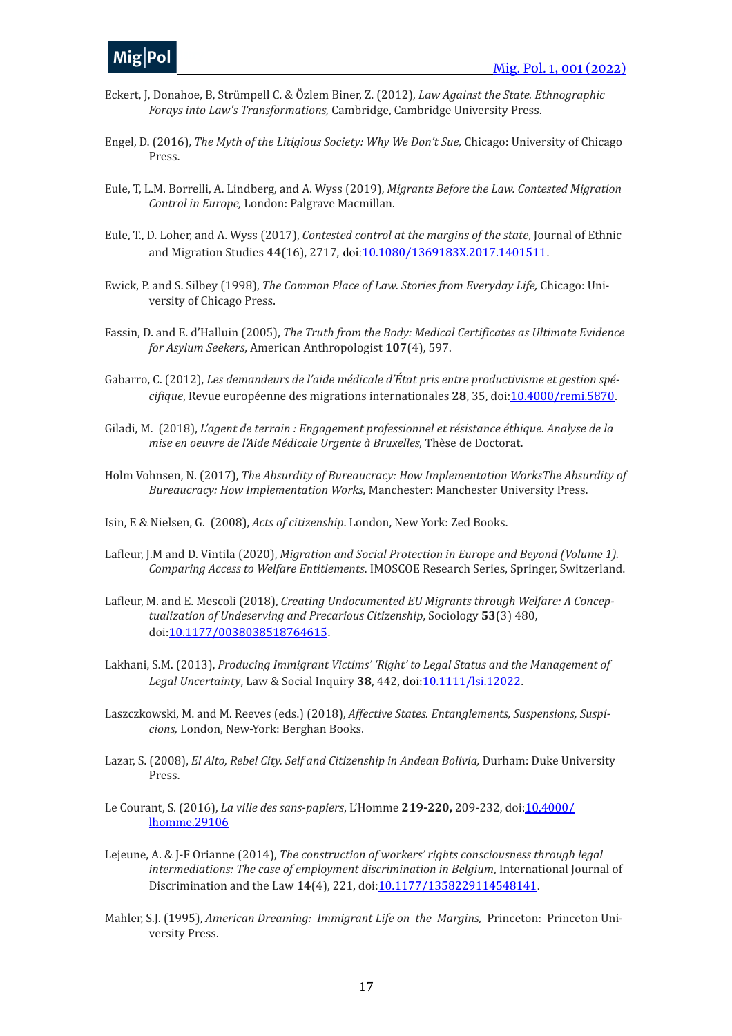- Eckert, J, Donahoe, B, Strümpell C. & Özlem Biner, Z. (2012), *Law Against the State. Ethnographic Forays into Law's Transformations, Cambridge, Cambridge University Press.*
- Engel, D. (2016), *The Myth of the Litigious Society:* Why We Don't Sue, Chicago: University of Chicago Press.
- Eule, T, L.M. Borrelli, A. Lindberg, and A. Wyss (2019), *Migrants Before the Law. Contested Migration Control in Europe, London: Palgrave Macmillan.*
- Eule, T., D. Loher, and A. Wyss (2017), *Contested control at the margins of the state*, Journal of Ethnic and Migration Studies 44(16), 2717, doi:[10.1080/1369183X.2017.1401511](https://doi.org/10.1080/1369183X.2017.1401511).
- Ewick, P. and S. Silbey (1998), *The Common Place of Law. Stories from Everyday Life*, Chicago: University of Chicago Press.
- Fassin, D. and E. d'Halluin (2005), *The Truth from the Body: Medical Certificates as Ultimate Evidence for Asylum Seekers, American Anthropologist* **107**(4), 597.
- Gabarro, C. (2012), *Les demandeurs de l'aide médicale d'État pris entre productivisme et gestion spécifique*, Revue européenne des migrations internationales 28, 35, doi: 10.4000/remi.5870.
- Giladi, M. (2018), *L'agent de terrain : Engagement professionnel et résistance éthique. Analyse de la mise en oeuvre de l'Aide Médicale Urgente à Bruxelles, Thèse de Doctorat.*
- Holm Vohnsen, N. (2017), *The Absurdity of Bureaucracy: How Implementation WorksThe Absurdity of Bureaucracy: How Implementation Works, Manchester: Manchester University Press.*
- Isin, E & Nielsen, G. (2008), *Acts of citizenship*, London, New York: Zed Books.
- Lafleur, J.M and D. Vintila (2020), *Migration and Social Protection in Europe and Beyond (Volume 1). Comparing Access to Welfare Entitlements*. IMOSCOE Research Series, Springer, Switzerland.
- Lafleur, M. and E. Mescoli (2018), *Creating Undocumented EU Migrants through Welfare: A Conceptualization of Undeserving and Precarious Citizenship*, Sociology **53**(3) 480, doi[:10.1177/0038038518764615](https://doi.org/10.1177/0038038518764615)"
- Lakhani, S.M. (2013), Producing Immigrant Victims' 'Right' to Legal Status and the Management of *Legal Uncertainty*, Law & Social Inquiry 38, 442, doi[:10.1111/lsi.12022](https://doi.org/10.1111/lsi.12022).
- Laszczkowski, M. and M. Reeves (eds.) (2018), *Affective States. Entanglements, Suspensions, Suspi*cions, London, New-York: Berghan Books.
- Lazar, S. (2008), *El Alto, Rebel City. Self and Citizenship in Andean Bolivia*, Durham: Duke University Press.
- Le Courant, S. (2016), *La ville des sans-papiers*, L'Homme 219-220, 209-232, doi:[10.4000/](https://doi.org/10.4000/lhomme.29106) [lhomme.29106](https://doi.org/10.4000/lhomme.29106)
- Lejeune, A. & J-F Orianne (2014), *The construction of workers' rights consciousness through legal intermediations: The case of employment discrimination in Belgium*, International Journal of Discrimination and the Law 14(4), 221, doi:[10.1177/1358229114548141](https://doi.org/10.1177/1358229114548141).
- Mahler, S.J. (1995), *American Dreaming: Immigrant Life on the Margins*, Princeton: Princeton University Press.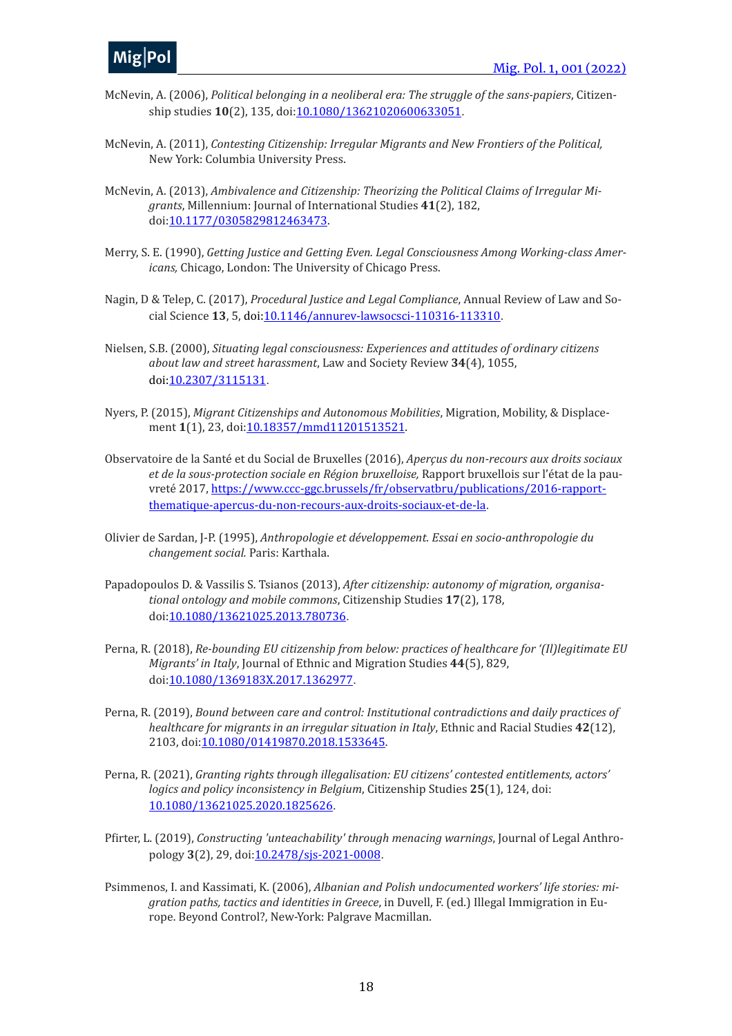- McNevin, A. (2006), *Political belonging in a neoliberal era: The struggle of the sans-papiers*, Citizenship studies **10**(2), 135, doi:[10.1080/13621020600633051](https://doi.org/10.1080/13621020600633051).
- McNevin, A. (2011), *Contesting Citizenship: Irregular Migrants and New Frontiers of the Political*, New York: Columbia University Press.
- McNevin, A. (2013), *Ambivalence and Citizenship: Theorizing the Political Claims of Irregular Mi*grants, Millennium: Journal of International Studies 41(2), 182, doi[:10.1177/0305829812463473](https://doi.org/10.1177/0305829812463473).
- Merry, S. E. (1990), *Getting Justice and Getting Even. Legal Consciousness Among Working-class Americans*, Chicago, London: The University of Chicago Press.
- Nagin, D & Telep, C. (2017), *Procedural Justice and Legal Compliance*, Annual Review of Law and So-cial Science 13, 5, doi[:10.1146/annurev-lawsocsci-110316-113310](https://doi.org/10.1146/annurev-lawsocsci-110316-113310).
- Nielsen, S.B. (2000), *Situating legal consciousness: Experiences and attitudes of ordinary citizens about law and street harassment*, Law and Society Review **34**(4), 1055, doi[:10.2307/3115131](https://doi.org/10.2307/3115131).
- Nyers, P. (2015), *Migrant Citizenships and Autonomous Mobilities*, Migration, Mobility, & Displace-ment 1(1), 23, doi[:10.18357/mmd11201513521](https://doi.org/10.18357/mmd11201513521).
- Observatoire de la Santé et du Social de Bruxelles (2016), *Apercus du non-recours aux droits sociaux* et de la sous-protection sociale en Région bruxelloise, Rapport bruxellois sur l'état de la pauvreté 2017, https://www.ccc-ggc.brussels/fr/observatbru/publications/2016-rapport[thematique-apercus-du-non-recours-aux-droits-sociaux-et-de-la](https://www.ccc-ggc.brussels/fr/observatbru/publications/2016-rapport-thematique-apercus-du-non-recours-aux-droits-sociaux-et-de-la)"
- Olivier de Sardan, J-P. (1995), *Anthropologie et développement. Essai en socio-anthropologie du changement social.* Paris: Karthala.
- Papadopoulos D. & Vassilis S. Tsianos (2013), After citizenship: autonomy of migration, organisa*tional ontology and mobile commons*, Citizenship Studies **17**(2), 178, doi[:10.1080/13621025.2013.780736](https://doi.org/10.1080/13621025.2013.780736)"
- Perna, R. (2018), *Re-bounding EU citizenship from below: practices of healthcare for '(Il)legitimate EU Migrants' in Italy*, Journal of Ethnic and Migration Studies 44(5), 829, doi[:10.1080/1369183X.2017.1362977](https://doi.org/10.1080/1369183X.2017.1362977).
- Perna, R. (2019), *Bound between care and control: Institutional contradictions and daily practices of healthcare for migrants in an irregular situation in Italy*, Ethnic and Racial Studies 42(12), 2103, doi: [10.1080/01419870.2018.1533645](https://doi.org/10.1080/01419870.2018.1533645).
- Perna, R. (2021), *Granting rights through illegalisation:* EU citizens' contested entitlements, actors' *logics and policy inconsistency in Belgium*, Citizenship Studies 25(1), 124, doi: [10.1080/13621025.2020.1825626](https://doi.org/10.1080/13621025.2020.1825626)"
- Pfirter, L. (2019), *Constructing 'unteachability' through menacing warnings*, Journal of Legal Anthropology 3(2), 29, doi: 10.2478/sjs-2021-0008.
- Psimmenos, I. and Kassimati, K. (2006), *Albanian and Polish undocumented workers' life stories: migration paths, tactics and identities in Greece,* in Duvell, F. (ed.) Illegal Immigration in Europe. Beyond Control?, New-York: Palgrave Macmillan.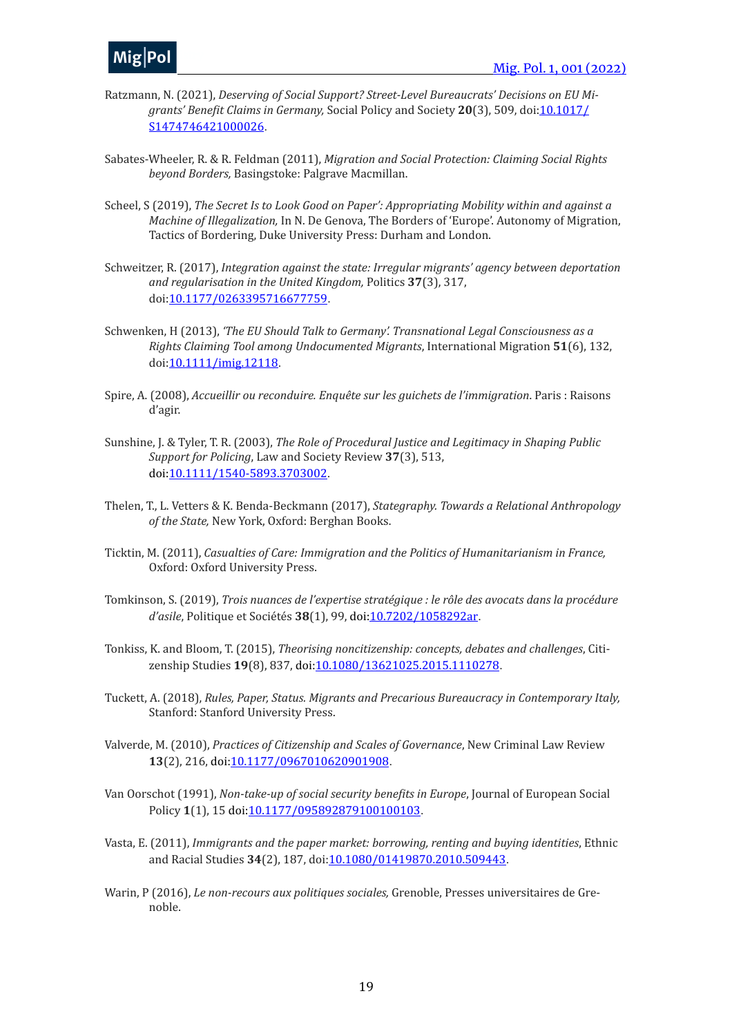- Ratzmann, N. (2021), *Deserving of Social Support? Street-Level Bureaucrats' Decisions on EU Migrants' Benefit Claims in Germany,* Social Policy and Society 20(3), 509, doi:[10.1017/](https://doi.org/10.1017/S1474746421000026) [S1474746421000026](https://doi.org/10.1017/S1474746421000026).
- Sabates-Wheeler, R. & R. Feldman (2011), *Migration and Social Protection: Claiming Social Rights beyond Borders,* Basingstoke: Palgrave Macmillan.
- Scheel, S (2019), *The Secret Is to Look Good on Paper': Appropriating Mobility within and against a Machine of Illegalization*, In N. De Genova, The Borders of 'Europe'. Autonomy of Migration, Tactics of Bordering, Duke University Press: Durham and London.
- Schweitzer, R. (2017), *Integration against the state: Irregular migrants' agency between deportation and regularisation in the United Kingdom,* Politics **37**(3), 317, doi[:10.1177/0263395716677759](https://doi.org/10.1177/0263395716677759).
- Schwenken, H (2013), 'The EU Should Talk to Germany'. Transnational Legal Consciousness as a *Rights Claiming Tool among Undocumented Migrants*, International Migration **51**(6), 132, doi[:10.1111/imig.12118](https://doi.org/10.1111/imig.12118).
- Spire, A. (2008), *Accueillir ou reconduire. Enquête sur les guichets de l'immigration*. Paris : Raisons d'agir.
- Sunshine, J. & Tyler, T. R. (2003), *The Role of Procedural Justice and Legitimacy in Shaping Public Support for Policing*, Law and Society Review 37(3), 513, doi[:10.1111/1540-5893.3703002](https://doi.org/10.1111/1540-5893.3703002).
- Thelen, T., L. Vetters & K. Benda-Beckmann (2017), *Stategraphy. Towards a Relational Anthropology* of the State, New York, Oxford: Berghan Books.
- Ticktin, M. (2011), *Casualties of Care: Immigration and the Politics of Humanitarianism in France,* Oxford: Oxford University Press.
- Tomkinson, S. (2019), *Trois nuances de l'expertise stratégique : le rôle des avocats dans la procédure d'asile*, Politique et Sociétés **38**(1), 99, doi:[10.7202/1058292ar](https://doi.org/10.7202/1058292ar).
- Tonkiss, K. and Bloom, T. (2015), *Theorising noncitizenship: concepts, debates and challenges*, Citizenship Studies 19(8), 837, doi: 10.1080/13621025.2015.1110278.
- Tuckett, A. (2018), *Rules, Paper, Status. Migrants and Precarious Bureaucracy in Contemporary Italy,* Stanford: Stanford University Press.
- Valverde, M. (2010), *Practices of Citizenship and Scales of Governance*, New Criminal Law Review 13(2), 216, doi[:10.1177/0967010620901908](https://doi.org/10.1177/0967010620901908).
- Van Oorschot (1991), *Non-take-up of social security benefits in Europe*, Journal of European Social Policy **1**(1), 15 doi: [10.1177/095892879100100103](https://doi.org/10.1177/095892879100100103).
- Vasta, E. (2011), *Immigrants and the paper market: borrowing, renting and buying identities*, Ethnic and Racial Studies 34(2), 187, doi[:10.1080/01419870.2010.509443](https://doi.org/10.1080/01419870.2010.509443).
- Warin, P (2016), *Le non-recours aux politiques sociales*, Grenoble, Presses universitaires de Grenoble.